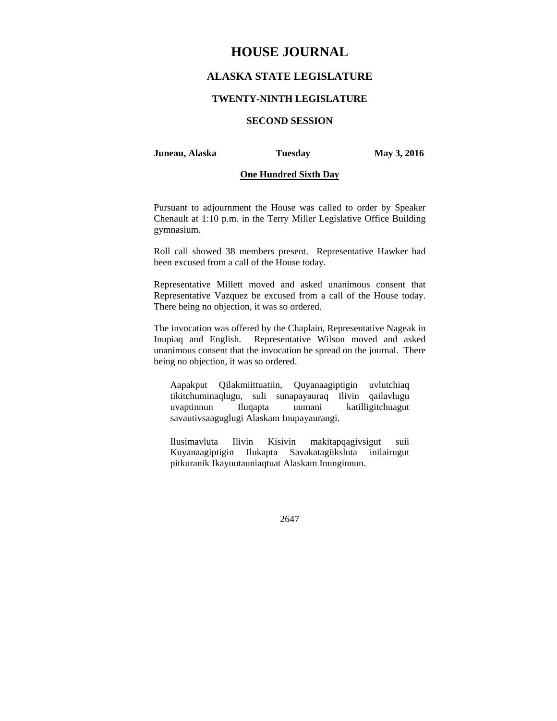# **HOUSE JOURNAL**

# **ALASKA STATE LEGISLATURE**

# **TWENTY-NINTH LEGISLATURE**

# **SECOND SESSION**

### **Juneau, Alaska Tuesday May 3, 2016**

# **One Hundred Sixth Day**

Pursuant to adjournment the House was called to order by Speaker Chenault at 1:10 p.m. in the Terry Miller Legislative Office Building gymnasium.

Roll call showed 38 members present. Representative Hawker had been excused from a call of the House today.

Representative Millett moved and asked unanimous consent that Representative Vazquez be excused from a call of the House today. There being no objection, it was so ordered.

The invocation was offered by the Chaplain, Representative Nageak in Inupiaq and English. Representative Wilson moved and asked unanimous consent that the invocation be spread on the journal. There being no objection, it was so ordered.

Aapakput Qilakmiittuatiin, Quyanaagiptigin uvlutchiaq tikitchuminaqlugu, suli sunapayauraq Ilivin qailavlugu uvaptinnun Iluqapta uumani katilligitchuagut savautivsaaguglugi Alaskam Inupayaurangi.

Ilusimavluta Ilivin Kisivin makitapqagivsigut suii Kuyanaagiptigin Ilukapta Savakatagiiksluta inilairugut pitkuranik Ikayuutauniaqtuat Alaskam Inunginnun.

2647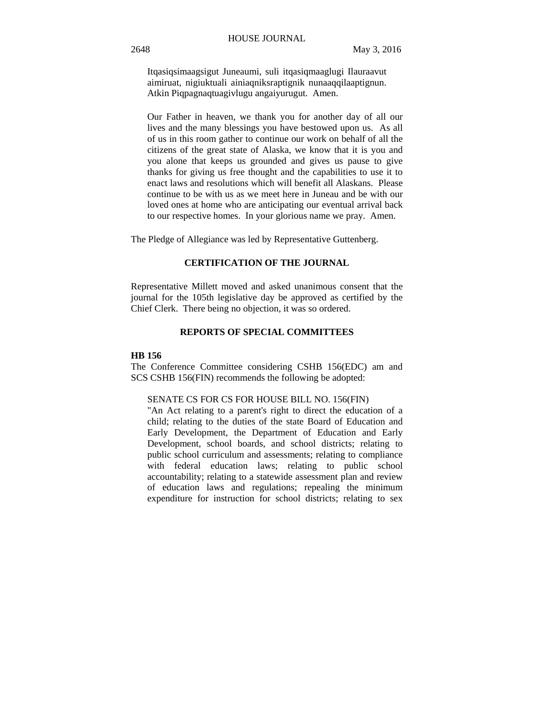Itqasiqsimaagsigut Juneaumi, suli itqasiqmaaglugi Ilauraavut aimiruat, nigiuktuali ainiaqniksraptignik nunaaqqilaaptignun. Atkin Piqpagnaqtuagivlugu angaiyurugut. Amen.

Our Father in heaven, we thank you for another day of all our lives and the many blessings you have bestowed upon us. As all of us in this room gather to continue our work on behalf of all the citizens of the great state of Alaska, we know that it is you and you alone that keeps us grounded and gives us pause to give thanks for giving us free thought and the capabilities to use it to enact laws and resolutions which will benefit all Alaskans. Please continue to be with us as we meet here in Juneau and be with our loved ones at home who are anticipating our eventual arrival back to our respective homes. In your glorious name we pray. Amen.

The Pledge of Allegiance was led by Representative Guttenberg.

# **CERTIFICATION OF THE JOURNAL**

Representative Millett moved and asked unanimous consent that the journal for the 105th legislative day be approved as certified by the Chief Clerk. There being no objection, it was so ordered.

# **REPORTS OF SPECIAL COMMITTEES**

### **HB 156**

The Conference Committee considering CSHB 156(EDC) am and SCS CSHB 156(FIN) recommends the following be adopted:

### SENATE CS FOR CS FOR HOUSE BILL NO. 156(FIN)

"An Act relating to a parent's right to direct the education of a child; relating to the duties of the state Board of Education and Early Development, the Department of Education and Early Development, school boards, and school districts; relating to public school curriculum and assessments; relating to compliance with federal education laws; relating to public school accountability; relating to a statewide assessment plan and review of education laws and regulations; repealing the minimum expenditure for instruction for school districts; relating to sex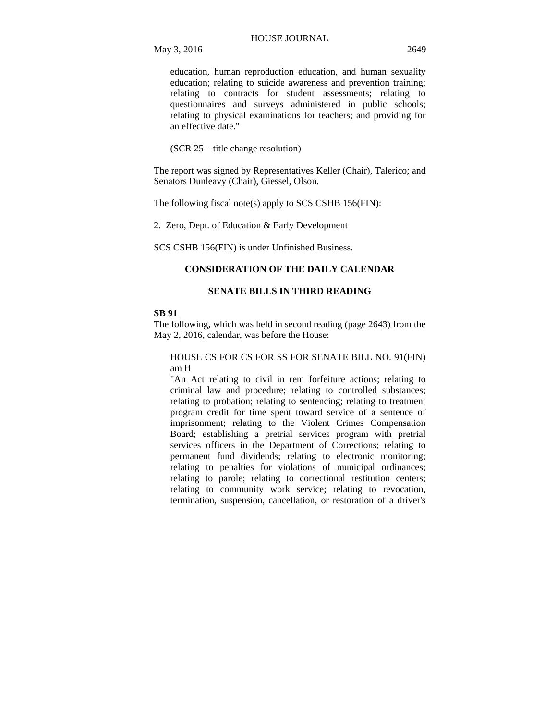education, human reproduction education, and human sexuality education; relating to suicide awareness and prevention training; relating to contracts for student assessments; relating to questionnaires and surveys administered in public schools; relating to physical examinations for teachers; and providing for an effective date."

(SCR 25 – title change resolution)

The report was signed by Representatives Keller (Chair), Talerico; and Senators Dunleavy (Chair), Giessel, Olson.

The following fiscal note(s) apply to SCS CSHB 156(FIN):

2. Zero, Dept. of Education & Early Development

SCS CSHB 156(FIN) is under Unfinished Business.

# **CONSIDERATION OF THE DAILY CALENDAR**

# **SENATE BILLS IN THIRD READING**

### **SB 91**

The following, which was held in second reading (page 2643) from the May 2, 2016, calendar, was before the House:

# HOUSE CS FOR CS FOR SS FOR SENATE BILL NO. 91(FIN) am H

"An Act relating to civil in rem forfeiture actions; relating to criminal law and procedure; relating to controlled substances; relating to probation; relating to sentencing; relating to treatment program credit for time spent toward service of a sentence of imprisonment; relating to the Violent Crimes Compensation Board; establishing a pretrial services program with pretrial services officers in the Department of Corrections; relating to permanent fund dividends; relating to electronic monitoring; relating to penalties for violations of municipal ordinances; relating to parole; relating to correctional restitution centers; relating to community work service; relating to revocation, termination, suspension, cancellation, or restoration of a driver's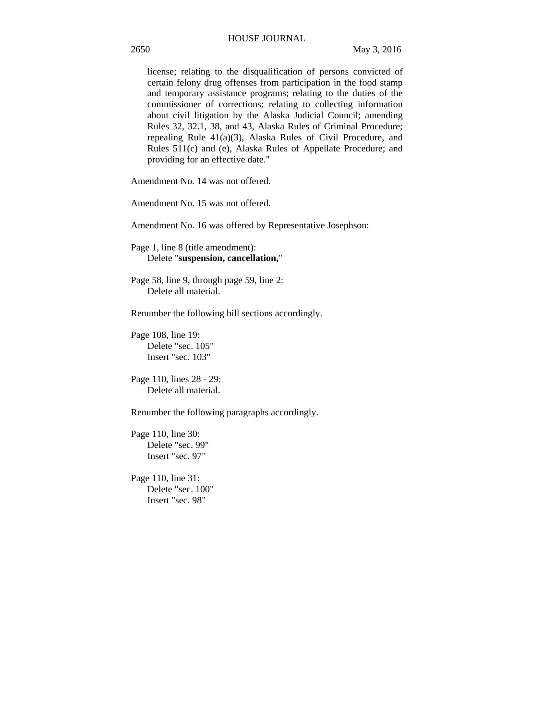license; relating to the disqualification of persons convicted of certain felony drug offenses from participation in the food stamp and temporary assistance programs; relating to the duties of the commissioner of corrections; relating to collecting information about civil litigation by the Alaska Judicial Council; amending Rules 32, 32.1, 38, and 43, Alaska Rules of Criminal Procedure; repealing Rule 41(a)(3), Alaska Rules of Civil Procedure, and Rules 511(c) and (e), Alaska Rules of Appellate Procedure; and providing for an effective date."

Amendment No. 14 was not offered.

Amendment No. 15 was not offered.

Amendment No. 16 was offered by Representative Josephson:

Page 1, line 8 (title amendment): Delete "**suspension, cancellation,**"

Page 58, line 9, through page 59, line 2: Delete all material.

Renumber the following bill sections accordingly.

Page 108, line 19: Delete "sec. 105" Insert "sec. 103"

Page 110, lines 28 - 29: Delete all material.

Renumber the following paragraphs accordingly.

Page 110, line 30: Delete "sec. 99" Insert "sec. 97"

Page 110, line 31: Delete "sec. 100" Insert "sec. 98"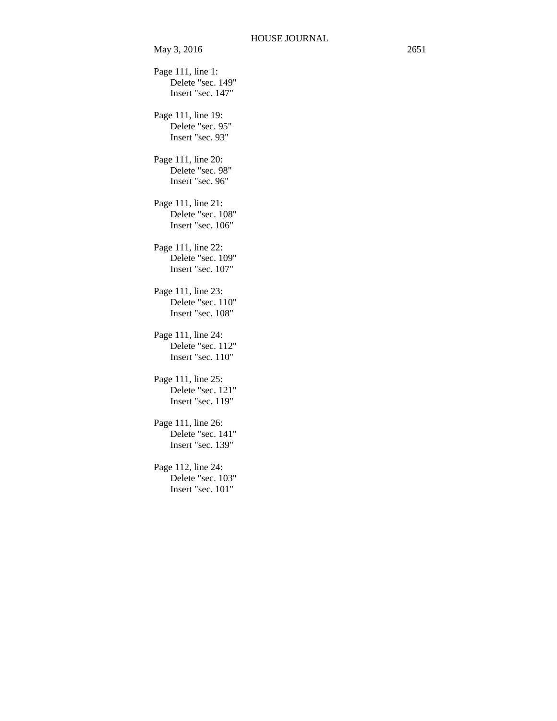May 3, 2016 2651 Page 111, line 1: Delete "sec. 149" Insert "sec. 147" Page 111, line 19: Delete "sec. 95" Insert "sec. 93" Page 111, line 20: Delete "sec. 98" Insert "sec. 96" Page 111, line 21: Delete "sec. 108" Insert "sec. 106" Page 111, line 22: Delete "sec. 109" Insert "sec. 107" Page 111, line 23: Delete "sec. 110" Insert "sec. 108" Page 111, line 24: Delete "sec. 112" Insert "sec. 110" Page 111, line 25: Delete "sec. 121" Insert "sec. 119" Page 111, line 26: Delete "sec. 141" Insert "sec. 139" Page 112, line 24: Delete "sec. 103" Insert "sec. 101"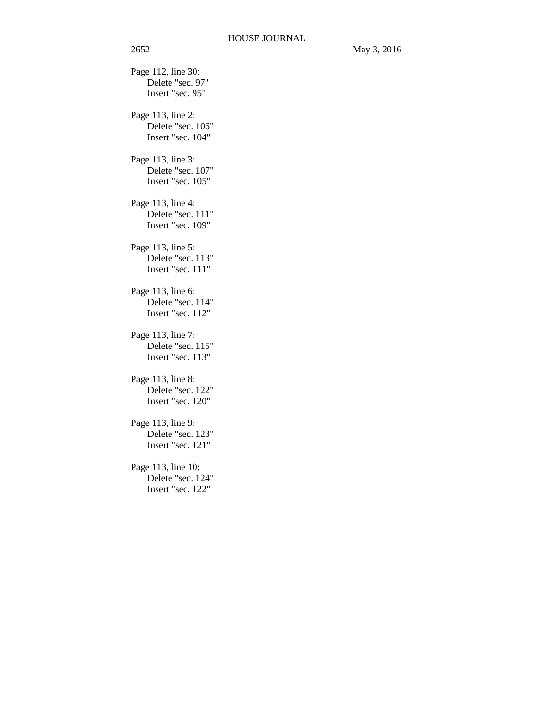Page 112, line 30: Delete "sec. 97" Insert "sec. 95" Page 113, line 2: Delete "sec. 106" Insert "sec. 104" Page 113, line 3: Delete "sec. 107" Insert "sec. 105" Page 113, line 4: Delete "sec. 111" Insert "sec. 109" Page 113, line 5: Delete "sec. 113" Insert "sec. 111" Page 113, line 6: Delete "sec. 114" Insert "sec. 112" Page 113, line 7: Delete "sec. 115" Insert "sec. 113" Page 113, line 8: Delete "sec. 122" Insert "sec. 120" Page 113, line 9: Delete "sec. 123" Insert "sec. 121" Page 113, line 10: Delete "sec. 124" Insert "sec. 122"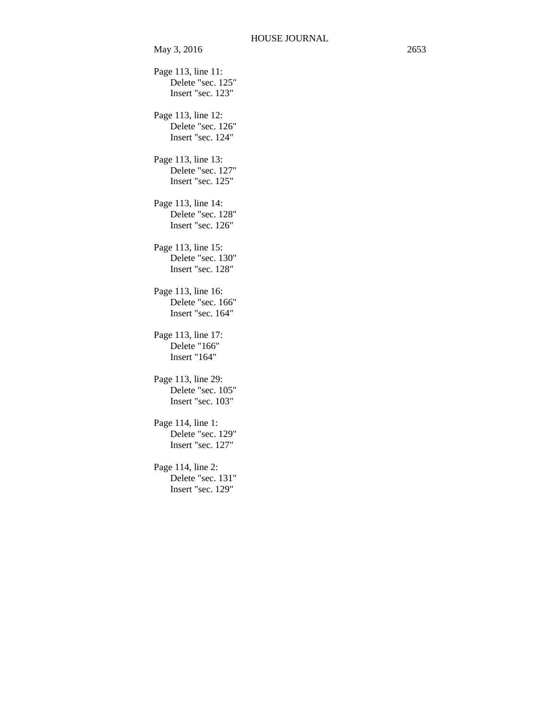Page 113, line 11: Delete "sec. 125" Insert "sec. 123" Page 113, line 12: Delete "sec. 126" Insert "sec. 124" Page 113, line 13: Delete "sec. 127" Insert "sec. 125" Page 113, line 14: Delete "sec. 128" Insert "sec. 126" Page 113, line 15: Delete "sec. 130" Insert "sec. 128" Page 113, line 16: Delete "sec. 166" Insert "sec. 164" Page 113, line 17: Delete "166" Insert "164" Page 113, line 29: Delete "sec. 105" Insert "sec. 103" Page 114, line 1: Delete "sec. 129" Insert "sec. 127" Page 114, line 2: Delete "sec. 131" Insert "sec. 129"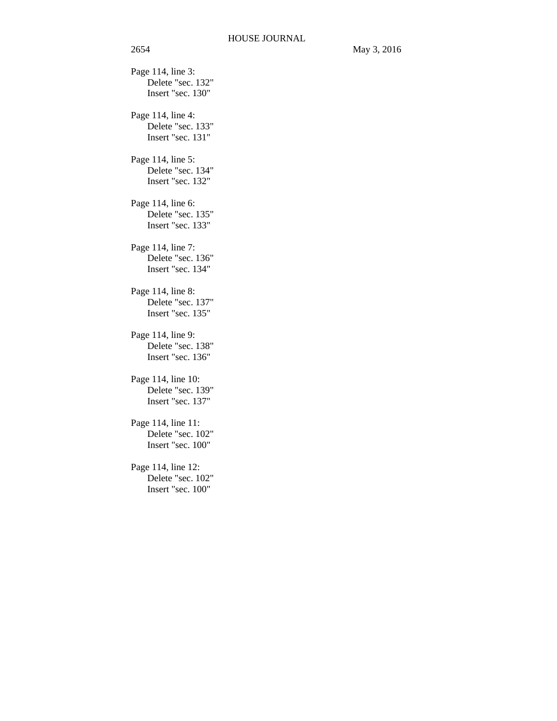Page 114, line 3: Delete "sec. 132" Insert "sec. 130" Page 114, line 4: Delete "sec. 133" Insert "sec. 131" Page 114, line 5: Delete "sec. 134" Insert "sec. 132" Page 114, line 6: Delete "sec. 135" Insert "sec. 133" Page 114, line 7: Delete "sec. 136" Insert "sec. 134" Page 114, line 8: Delete "sec. 137" Insert "sec. 135" Page 114, line 9: Delete "sec. 138" Insert "sec. 136" Page 114, line 10: Delete "sec. 139" Insert "sec. 137" Page 114, line 11: Delete "sec. 102" Insert "sec. 100" Page 114, line 12: Delete "sec. 102" Insert "sec. 100"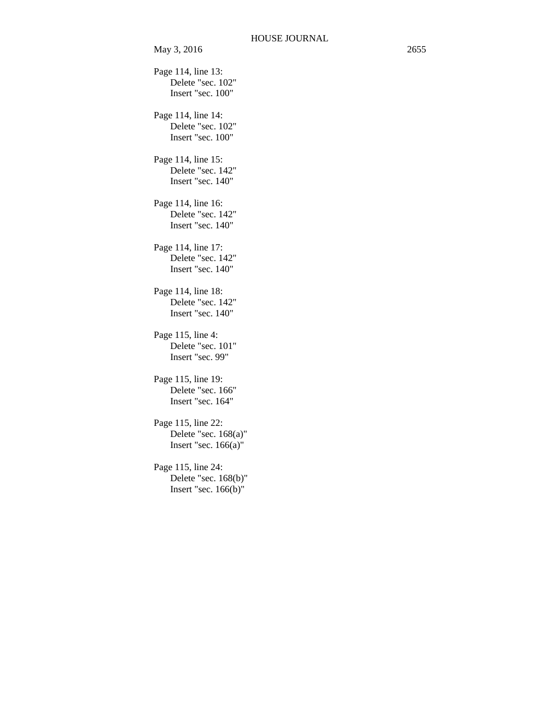Page 114, line 13: Delete "sec. 102" Insert "sec. 100" Page 114, line 14: Delete "sec. 102" Insert "sec. 100" Page 114, line 15: Delete "sec. 142" Insert "sec. 140" Page 114, line 16: Delete "sec. 142" Insert "sec. 140" Page 114, line 17: Delete "sec. 142" Insert "sec. 140" Page 114, line 18: Delete "sec. 142" Insert "sec. 140" Page 115, line 4: Delete "sec. 101" Insert "sec. 99" Page 115, line 19: Delete "sec. 166" Insert "sec. 164" Page 115, line 22: Delete "sec. 168(a)" Insert "sec. 166(a)" Page 115, line 24: Delete "sec. 168(b)" Insert "sec. 166(b)"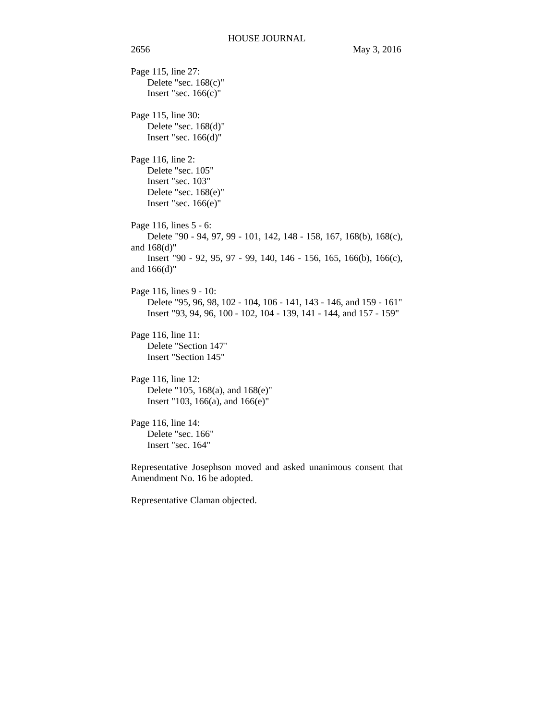Page 115, line 27: Delete "sec. 168(c)" Insert "sec.  $166(c)$ " Page 115, line 30: Delete "sec. 168(d)" Insert "sec. 166(d)" Page 116, line 2: Delete "sec. 105" Insert "sec. 103" Delete "sec. 168(e)" Insert "sec. 166(e)" Page 116, lines 5 - 6: Delete "90 - 94, 97, 99 - 101, 142, 148 - 158, 167, 168(b), 168(c), and 168(d)" Insert "90 - 92, 95, 97 - 99, 140, 146 - 156, 165, 166(b), 166(c), and 166(d)" Page 116, lines 9 - 10: Delete "95, 96, 98, 102 - 104, 106 - 141, 143 - 146, and 159 - 161" Insert "93, 94, 96, 100 - 102, 104 - 139, 141 - 144, and 157 - 159" Page 116, line 11: Delete "Section 147" Insert "Section 145" Page 116, line 12: Delete "105, 168(a), and 168(e)" Insert "103, 166(a), and 166(e)" Page 116, line 14: Delete "sec. 166" Insert "sec. 164" Representative Josephson moved and asked unanimous consent that Amendment No. 16 be adopted.

Representative Claman objected.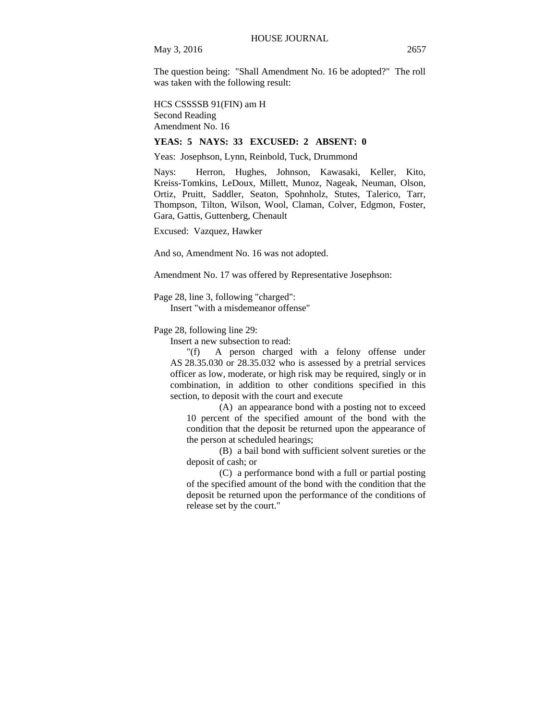The question being: "Shall Amendment No. 16 be adopted?" The roll was taken with the following result:

HCS CSSSSB 91(FIN) am H Second Reading Amendment No. 16

# **YEAS: 5 NAYS: 33 EXCUSED: 2 ABSENT: 0**

Yeas: Josephson, Lynn, Reinbold, Tuck, Drummond

Nays: Herron, Hughes, Johnson, Kawasaki, Keller, Kito, Kreiss-Tomkins, LeDoux, Millett, Munoz, Nageak, Neuman, Olson, Ortiz, Pruitt, Saddler, Seaton, Spohnholz, Stutes, Talerico, Tarr, Thompson, Tilton, Wilson, Wool, Claman, Colver, Edgmon, Foster, Gara, Gattis, Guttenberg, Chenault

Excused: Vazquez, Hawker

And so, Amendment No. 16 was not adopted.

Amendment No. 17 was offered by Representative Josephson:

Page 28, line 3, following "charged":

Insert "with a misdemeanor offense"

Page 28, following line 29:

Insert a new subsection to read:

"(f) A person charged with a felony offense under AS 28.35.030 or 28.35.032 who is assessed by a pretrial services officer as low, moderate, or high risk may be required, singly or in combination, in addition to other conditions specified in this section, to deposit with the court and execute

(A) an appearance bond with a posting not to exceed 10 percent of the specified amount of the bond with the condition that the deposit be returned upon the appearance of the person at scheduled hearings;

(B) a bail bond with sufficient solvent sureties or the deposit of cash; or

(C) a performance bond with a full or partial posting of the specified amount of the bond with the condition that the deposit be returned upon the performance of the conditions of release set by the court."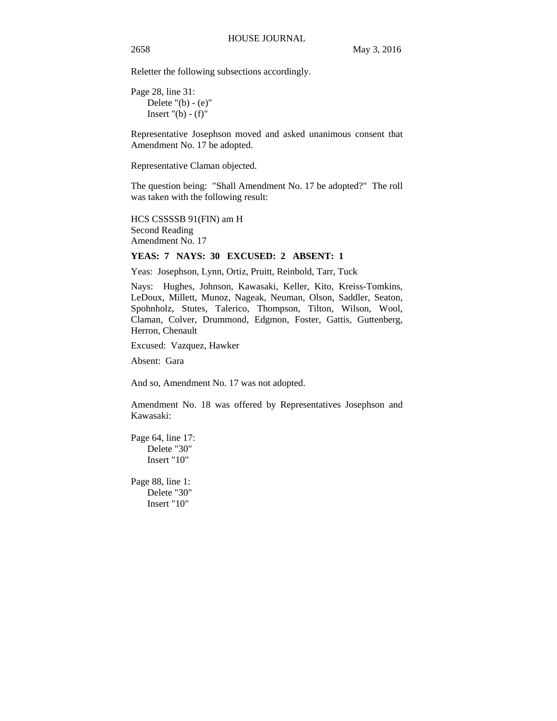Reletter the following subsections accordingly.

Page 28, line 31: Delete  $"$ (b) - (e) $"$ Insert  $"$ (b) - (f)"

Representative Josephson moved and asked unanimous consent that Amendment No. 17 be adopted.

Representative Claman objected.

The question being: "Shall Amendment No. 17 be adopted?" The roll was taken with the following result:

HCS CSSSSB 91(FIN) am H Second Reading Amendment No. 17

# **YEAS: 7 NAYS: 30 EXCUSED: 2 ABSENT: 1**

Yeas: Josephson, Lynn, Ortiz, Pruitt, Reinbold, Tarr, Tuck

Nays: Hughes, Johnson, Kawasaki, Keller, Kito, Kreiss-Tomkins, LeDoux, Millett, Munoz, Nageak, Neuman, Olson, Saddler, Seaton, Spohnholz, Stutes, Talerico, Thompson, Tilton, Wilson, Wool, Claman, Colver, Drummond, Edgmon, Foster, Gattis, Guttenberg, Herron, Chenault

Excused: Vazquez, Hawker

Absent: Gara

And so, Amendment No. 17 was not adopted.

Amendment No. 18 was offered by Representatives Josephson and Kawasaki:

Page 64, line 17: Delete "30" Insert "10"

Page 88, line 1: Delete "30" Insert "10"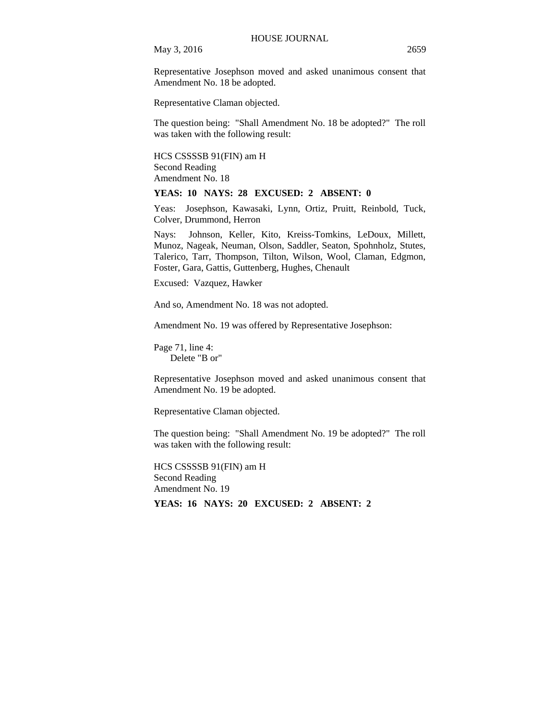May 3, 2016 2659

Representative Josephson moved and asked unanimous consent that Amendment No. 18 be adopted.

Representative Claman objected.

The question being: "Shall Amendment No. 18 be adopted?" The roll was taken with the following result:

HCS CSSSSB 91(FIN) am H Second Reading Amendment No. 18

**YEAS: 10 NAYS: 28 EXCUSED: 2 ABSENT: 0** 

Yeas: Josephson, Kawasaki, Lynn, Ortiz, Pruitt, Reinbold, Tuck, Colver, Drummond, Herron

Nays: Johnson, Keller, Kito, Kreiss-Tomkins, LeDoux, Millett, Munoz, Nageak, Neuman, Olson, Saddler, Seaton, Spohnholz, Stutes, Talerico, Tarr, Thompson, Tilton, Wilson, Wool, Claman, Edgmon, Foster, Gara, Gattis, Guttenberg, Hughes, Chenault

Excused: Vazquez, Hawker

And so, Amendment No. 18 was not adopted.

Amendment No. 19 was offered by Representative Josephson:

Page 71, line 4: Delete "B or"

Representative Josephson moved and asked unanimous consent that Amendment No. 19 be adopted.

Representative Claman objected.

The question being: "Shall Amendment No. 19 be adopted?" The roll was taken with the following result:

HCS CSSSSB 91(FIN) am H Second Reading Amendment No. 19 **YEAS: 16 NAYS: 20 EXCUSED: 2 ABSENT: 2**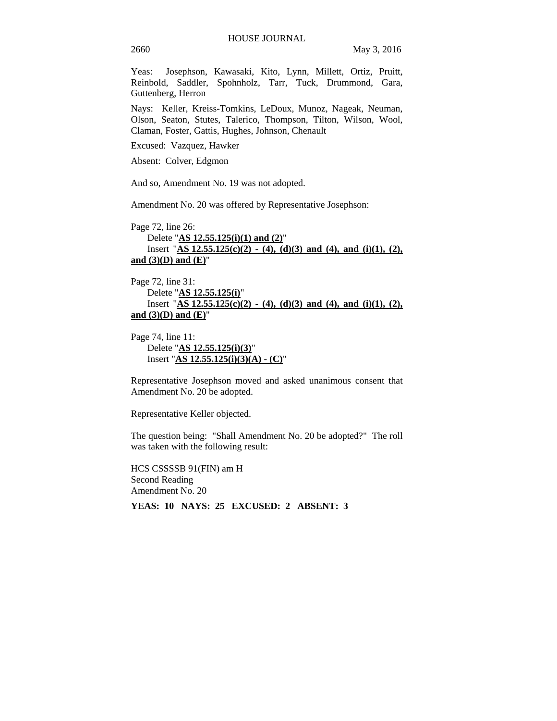Yeas: Josephson, Kawasaki, Kito, Lynn, Millett, Ortiz, Pruitt, Reinbold, Saddler, Spohnholz, Tarr, Tuck, Drummond, Gara, Guttenberg, Herron

Nays: Keller, Kreiss-Tomkins, LeDoux, Munoz, Nageak, Neuman, Olson, Seaton, Stutes, Talerico, Thompson, Tilton, Wilson, Wool, Claman, Foster, Gattis, Hughes, Johnson, Chenault

Excused: Vazquez, Hawker

Absent: Colver, Edgmon

And so, Amendment No. 19 was not adopted.

Amendment No. 20 was offered by Representative Josephson:

Page 72, line 26: Delete "**AS 12.55.125(i)(1) and (2)**" Insert "**AS 12.55.125(c)(2) - (4), (d)(3) and (4), and (i)(1), (2), and (3)(D) and (E)**"

Page 72, line 31: Delete "**AS 12.55.125(i)**" Insert "**AS 12.55.125(c)(2) - (4), (d)(3) and (4), and (i)(1), (2), and (3)(D) and (E)**"

Page 74, line 11: Delete "**AS 12.55.125(i)(3)**" Insert "**AS 12.55.125(i)(3)(A) - (C)**"

Representative Josephson moved and asked unanimous consent that Amendment No. 20 be adopted.

Representative Keller objected.

The question being: "Shall Amendment No. 20 be adopted?" The roll was taken with the following result:

HCS CSSSSB 91(FIN) am H Second Reading Amendment No. 20

**YEAS: 10 NAYS: 25 EXCUSED: 2 ABSENT: 3**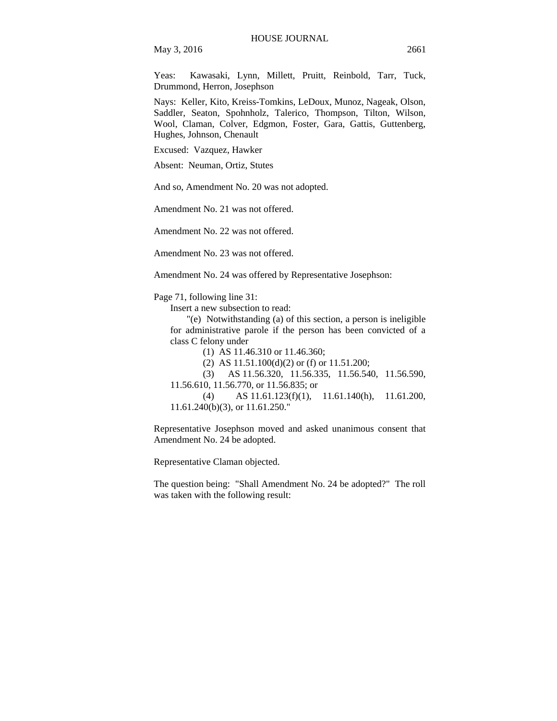May 3, 2016 2661

Yeas: Kawasaki, Lynn, Millett, Pruitt, Reinbold, Tarr, Tuck, Drummond, Herron, Josephson

Nays: Keller, Kito, Kreiss-Tomkins, LeDoux, Munoz, Nageak, Olson, Saddler, Seaton, Spohnholz, Talerico, Thompson, Tilton, Wilson, Wool, Claman, Colver, Edgmon, Foster, Gara, Gattis, Guttenberg, Hughes, Johnson, Chenault

Excused: Vazquez, Hawker

Absent: Neuman, Ortiz, Stutes

And so, Amendment No. 20 was not adopted.

Amendment No. 21 was not offered.

Amendment No. 22 was not offered.

Amendment No. 23 was not offered.

Amendment No. 24 was offered by Representative Josephson:

Page 71, following line 31:

Insert a new subsection to read:

"(e) Notwithstanding (a) of this section, a person is ineligible for administrative parole if the person has been convicted of a class C felony under

(1) AS 11.46.310 or 11.46.360;

(2) AS 11.51.100(d)(2) or (f) or 11.51.200;

(3) AS 11.56.320, 11.56.335, 11.56.540, 11.56.590, 11.56.610, 11.56.770, or 11.56.835; or

(4) AS 11.61.123(f)(1), 11.61.140(h), 11.61.200, 11.61.240(b)(3), or 11.61.250."

Representative Josephson moved and asked unanimous consent that Amendment No. 24 be adopted.

Representative Claman objected.

The question being: "Shall Amendment No. 24 be adopted?" The roll was taken with the following result: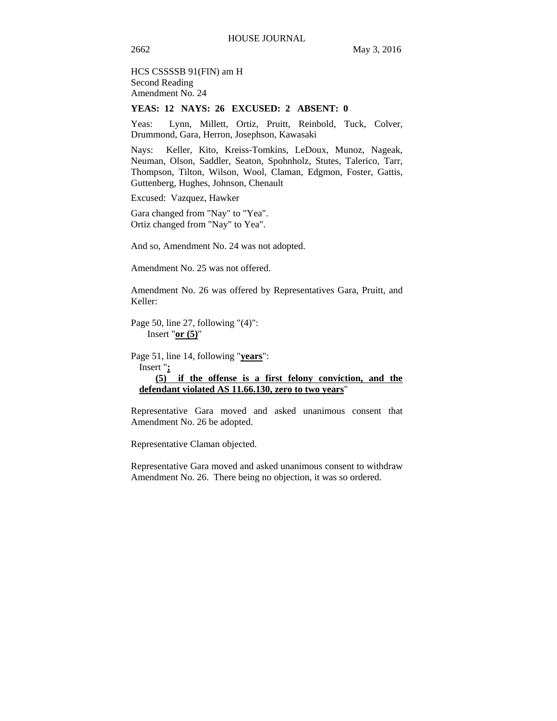HCS CSSSSB 91(FIN) am H Second Reading Amendment No. 24

# **YEAS: 12 NAYS: 26 EXCUSED: 2 ABSENT: 0**

Yeas: Lynn, Millett, Ortiz, Pruitt, Reinbold, Tuck, Colver, Drummond, Gara, Herron, Josephson, Kawasaki

Nays: Keller, Kito, Kreiss-Tomkins, LeDoux, Munoz, Nageak, Neuman, Olson, Saddler, Seaton, Spohnholz, Stutes, Talerico, Tarr, Thompson, Tilton, Wilson, Wool, Claman, Edgmon, Foster, Gattis, Guttenberg, Hughes, Johnson, Chenault

Excused: Vazquez, Hawker

Gara changed from "Nay" to "Yea". Ortiz changed from "Nay" to Yea".

And so, Amendment No. 24 was not adopted.

Amendment No. 25 was not offered.

Amendment No. 26 was offered by Representatives Gara, Pruitt, and Keller:

Page 50, line 27, following "(4)": Insert "**or (5)**"

Page 51, line 14, following "**years**": Insert "**; (5) if the offense is a first felony conviction, and the defendant violated AS 11.66.130, zero to two years**"

Representative Gara moved and asked unanimous consent that Amendment No. 26 be adopted.

Representative Claman objected.

Representative Gara moved and asked unanimous consent to withdraw Amendment No. 26. There being no objection, it was so ordered.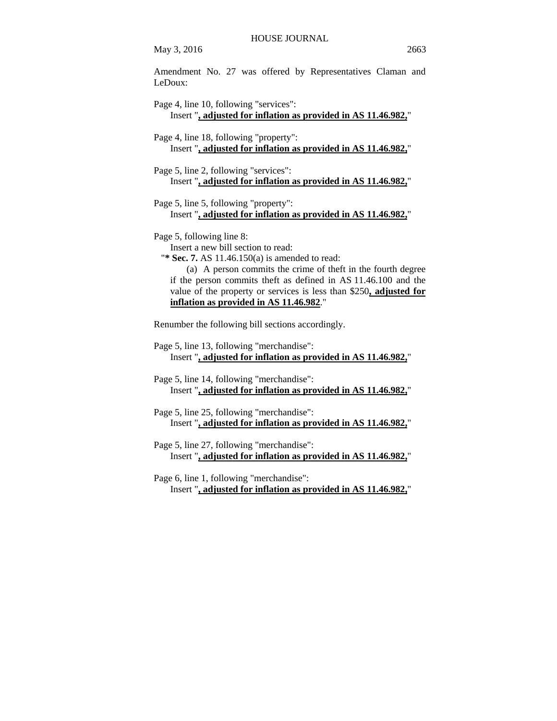Amendment No. 27 was offered by Representatives Claman and LeDoux:

Page 4, line 10, following "services": Insert "**, adjusted for inflation as provided in AS 11.46.982,**" Page 4, line 18, following "property": Insert "**, adjusted for inflation as provided in AS 11.46.982,**" Page 5, line 2, following "services": Insert "**, adjusted for inflation as provided in AS 11.46.982,**" Page 5, line 5, following "property": Insert "**, adjusted for inflation as provided in AS 11.46.982,**" Page 5, following line 8: Insert a new bill section to read: "**\* Sec. 7.** AS 11.46.150(a) is amended to read: (a) A person commits the crime of theft in the fourth degree if the person commits theft as defined in AS 11.46.100 and the value of the property or services is less than \$250**, adjusted for inflation as provided in AS 11.46.982**." Renumber the following bill sections accordingly. Page 5, line 13, following "merchandise": Insert "**, adjusted for inflation as provided in AS 11.46.982,**" Page 5, line 14, following "merchandise": Insert "**, adjusted for inflation as provided in AS 11.46.982,**" Page 5, line 25, following "merchandise": Insert "**, adjusted for inflation as provided in AS 11.46.982,**" Page 5, line 27, following "merchandise": Insert "**, adjusted for inflation as provided in AS 11.46.982,**" Page 6, line 1, following "merchandise":

Insert "**, adjusted for inflation as provided in AS 11.46.982,**"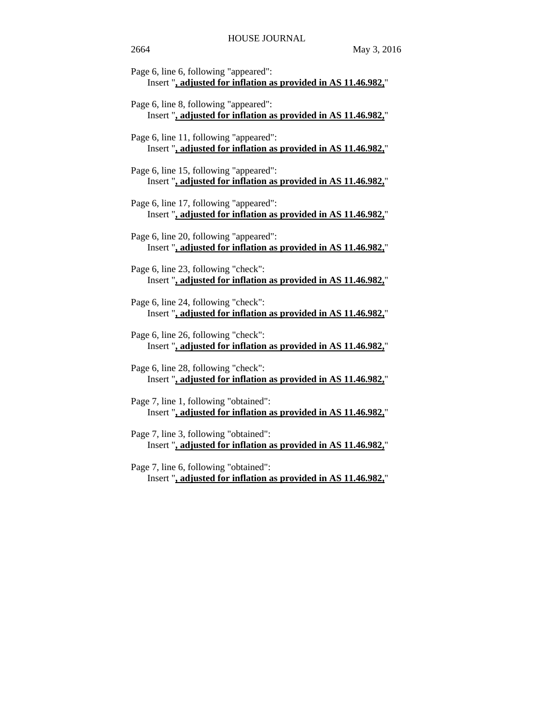| Page 6, line 6, following "appeared":<br>Insert ", adjusted for inflation as provided in AS 11.46.982,"  |
|----------------------------------------------------------------------------------------------------------|
| Page 6, line 8, following "appeared":<br>Insert ", adjusted for inflation as provided in AS 11.46.982,"  |
| Page 6, line 11, following "appeared":<br>Insert ", adjusted for inflation as provided in AS 11.46.982," |
| Page 6, line 15, following "appeared":<br>Insert ", adjusted for inflation as provided in AS 11.46.982," |
| Page 6, line 17, following "appeared":<br>Insert ", adjusted for inflation as provided in AS 11.46.982," |
| Page 6, line 20, following "appeared":<br>Insert ", adjusted for inflation as provided in AS 11.46.982," |
| Page 6, line 23, following "check":<br>Insert ", adjusted for inflation as provided in AS 11.46.982,"    |
| Page 6, line 24, following "check":<br>Insert ", adjusted for inflation as provided in AS 11.46.982,"    |
| Page 6, line 26, following "check":<br>Insert ", adjusted for inflation as provided in AS 11.46.982,"    |
| Page 6, line 28, following "check":<br>Insert ", adjusted for inflation as provided in AS 11.46.982,"    |
| Page 7, line 1, following "obtained":<br>Insert ", adjusted for inflation as provided in AS 11.46.982,"  |
| Page 7, line 3, following "obtained":<br>Insert ", adjusted for inflation as provided in AS 11.46.982,"  |
| Page 7, line 6, following "obtained":<br>Insert ", adjusted for inflation as provided in AS 11.46.982,"  |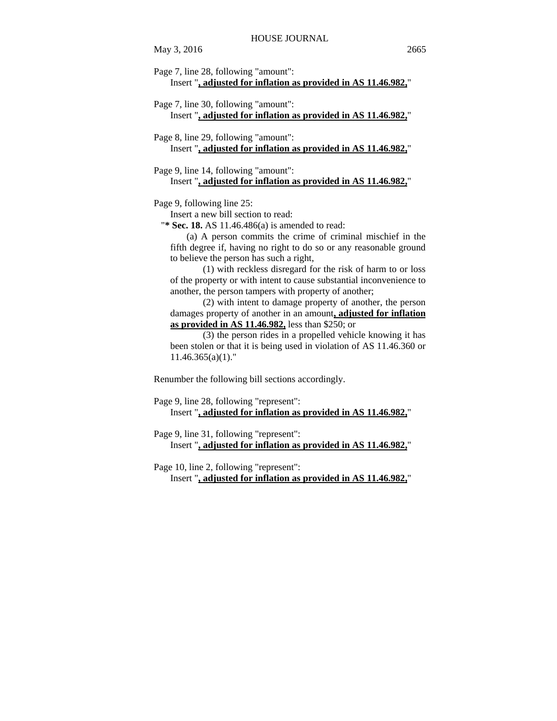Page 7, line 30, following "amount": Insert "**, adjusted for inflation as provided in AS 11.46.982,**"

Page 8, line 29, following "amount": Insert "**, adjusted for inflation as provided in AS 11.46.982,**"

Page 9, line 14, following "amount": Insert "**, adjusted for inflation as provided in AS 11.46.982,**"

Page 9, following line 25:

Insert a new bill section to read:

"**\* Sec. 18.** AS 11.46.486(a) is amended to read:

(a) A person commits the crime of criminal mischief in the fifth degree if, having no right to do so or any reasonable ground to believe the person has such a right,

(1) with reckless disregard for the risk of harm to or loss of the property or with intent to cause substantial inconvenience to another, the person tampers with property of another;

(2) with intent to damage property of another, the person damages property of another in an amount**, adjusted for inflation as provided in AS 11.46.982,** less than \$250; or

(3) the person rides in a propelled vehicle knowing it has been stolen or that it is being used in violation of AS 11.46.360 or  $11.46.365(a)(1)$ ."

Renumber the following bill sections accordingly.

Page 9, line 28, following "represent": Insert "**, adjusted for inflation as provided in AS 11.46.982,**"

Page 9, line 31, following "represent": Insert "**, adjusted for inflation as provided in AS 11.46.982,**"

Page 10, line 2, following "represent": Insert "**, adjusted for inflation as provided in AS 11.46.982,**"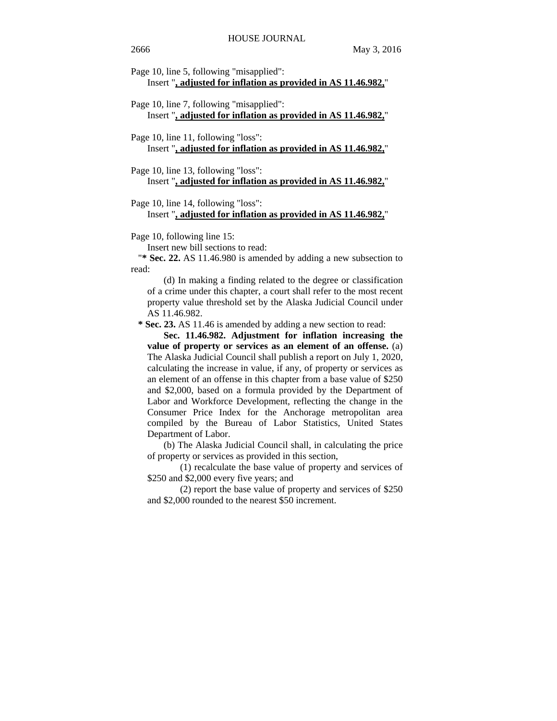Page 10, line 5, following "misapplied":

Insert "**, adjusted for inflation as provided in AS 11.46.982,**"

- Page 10, line 7, following "misapplied": Insert "**, adjusted for inflation as provided in AS 11.46.982,**"
- Page 10, line 11, following "loss": Insert "**, adjusted for inflation as provided in AS 11.46.982,**"
- Page 10, line 13, following "loss": Insert "**, adjusted for inflation as provided in AS 11.46.982,**"

### Page 10, line 14, following "loss":

### Insert "**, adjusted for inflation as provided in AS 11.46.982,**"

Page 10, following line 15:

Insert new bill sections to read:

"**\* Sec. 22.** AS 11.46.980 is amended by adding a new subsection to read:

(d) In making a finding related to the degree or classification of a crime under this chapter, a court shall refer to the most recent property value threshold set by the Alaska Judicial Council under AS 11.46.982.

 **\* Sec. 23.** AS 11.46 is amended by adding a new section to read:

**Sec. 11.46.982. Adjustment for inflation increasing the value of property or services as an element of an offense.** (a) The Alaska Judicial Council shall publish a report on July 1, 2020, calculating the increase in value, if any, of property or services as an element of an offense in this chapter from a base value of \$250 and \$2,000, based on a formula provided by the Department of Labor and Workforce Development, reflecting the change in the Consumer Price Index for the Anchorage metropolitan area compiled by the Bureau of Labor Statistics, United States Department of Labor.

(b) The Alaska Judicial Council shall, in calculating the price of property or services as provided in this section,

(1) recalculate the base value of property and services of \$250 and \$2,000 every five years; and

(2) report the base value of property and services of \$250 and \$2,000 rounded to the nearest \$50 increment.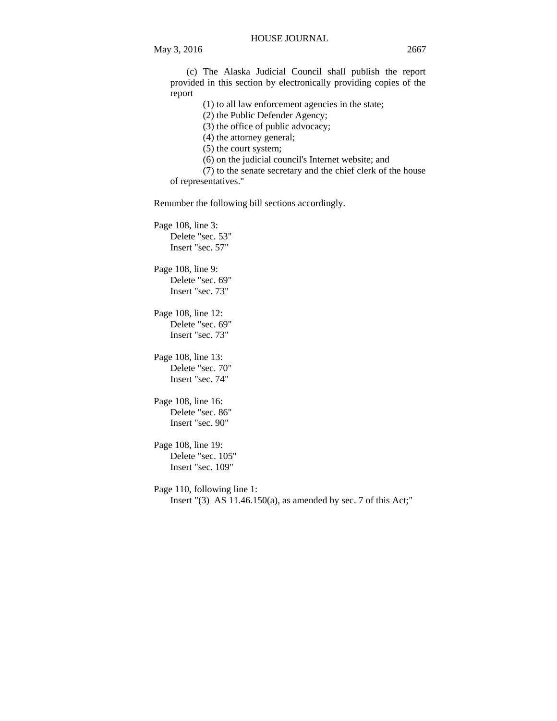(c) The Alaska Judicial Council shall publish the report

provided in this section by electronically providing copies of the report

(1) to all law enforcement agencies in the state;

(2) the Public Defender Agency;

(3) the office of public advocacy;

(4) the attorney general;

(5) the court system;

(6) on the judicial council's Internet website; and

(7) to the senate secretary and the chief clerk of the house of representatives."

Renumber the following bill sections accordingly.

Page 108, line 3: Delete "sec. 53" Insert "sec. 57"

Page 108, line 9: Delete "sec. 69" Insert "sec. 73"

Page 108, line 12: Delete "sec. 69" Insert "sec. 73"

Page 108, line 13: Delete "sec. 70" Insert "sec. 74"

Page 108, line 16: Delete "sec. 86" Insert "sec. 90"

Page 108, line 19: Delete "sec. 105" Insert "sec. 109"

Page 110, following line 1: Insert "(3) AS 11.46.150(a), as amended by sec. 7 of this Act;"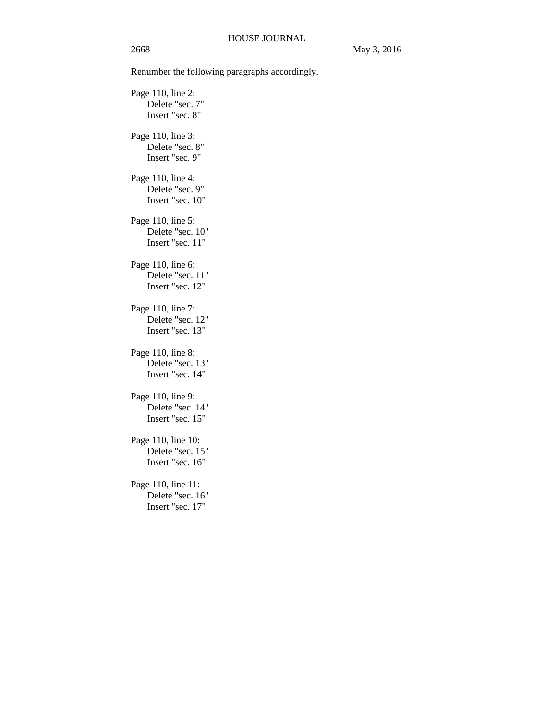Renumber the following paragraphs accordingly.

Page 110, line 2: Delete "sec. 7" Insert "sec. 8" Page 110, line 3: Delete "sec. 8" Insert "sec. 9" Page 110, line 4: Delete "sec. 9" Insert "sec. 10" Page 110, line 5: Delete "sec. 10" Insert "sec. 11" Page 110, line 6: Delete "sec. 11" Insert "sec. 12" Page 110, line 7: Delete "sec. 12" Insert "sec. 13" Page 110, line 8: Delete "sec. 13" Insert "sec. 14" Page 110, line 9: Delete "sec. 14" Insert "sec. 15" Page 110, line 10: Delete "sec. 15" Insert "sec. 16" Page 110, line 11: Delete "sec. 16" Insert "sec. 17"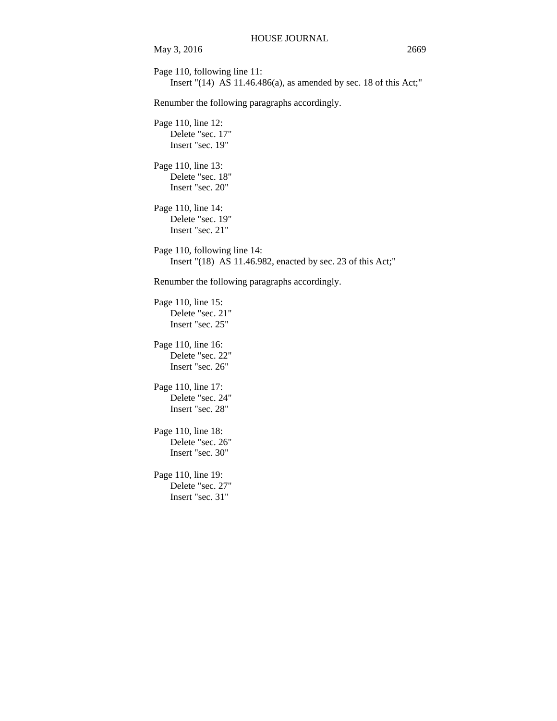May 3, 2016 2669 Page 110, following line 11: Insert "(14) AS 11.46.486(a), as amended by sec. 18 of this Act;" Renumber the following paragraphs accordingly. Page 110, line 12: Delete "sec. 17" Insert "sec. 19" Page 110, line 13: Delete "sec. 18" Insert "sec. 20" Page 110, line 14: Delete "sec. 19" Insert "sec. 21" Page 110, following line 14: Insert "(18) AS 11.46.982, enacted by sec. 23 of this Act;" Renumber the following paragraphs accordingly. Page 110, line 15: Delete "sec. 21" Insert "sec. 25" Page 110, line 16: Delete "sec. 22" Insert "sec. 26" Page 110, line 17: Delete "sec. 24" Insert "sec. 28" Page 110, line 18: Delete "sec. 26" Insert "sec. 30" Page 110, line 19: Delete "sec. 27" Insert "sec. 31"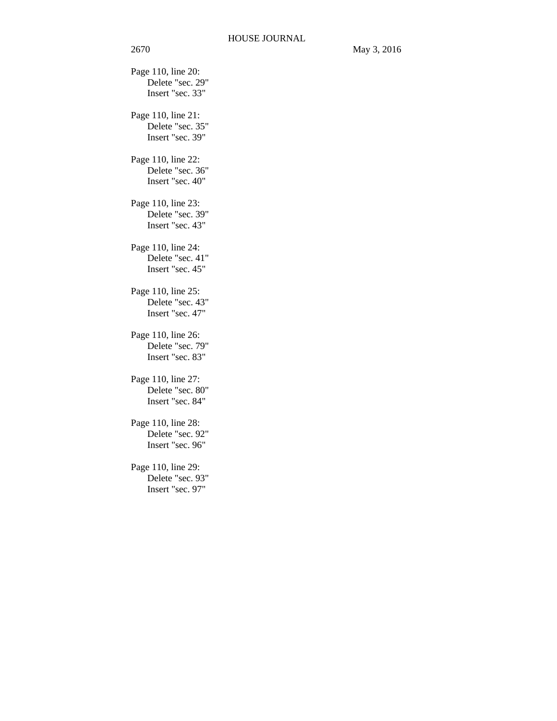Delete "sec. 29" Insert "sec. 33" Page 110, line 21: Delete "sec. 35" Insert "sec. 39" Page 110, line 22: Delete "sec. 36" Insert "sec. 40" Page 110, line 23: Delete "sec. 39" Insert "sec. 43" Page 110, line 24: Delete "sec. 41" Insert "sec. 45" Page 110, line 25: Delete "sec. 43" Insert "sec. 47" Page 110, line 26: Delete "sec. 79" Insert "sec. 83" Page 110, line 27: Delete "sec. 80" Insert "sec. 84" Page 110, line 28: Delete "sec. 92" Insert "sec. 96" Page 110, line 29:

Delete "sec. 93" Insert "sec. 97"

Page 110, line 20: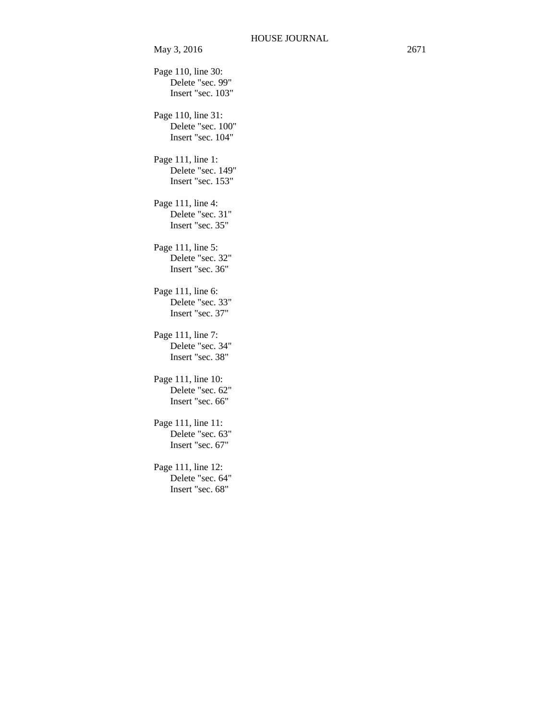```
Page 110, line 30: 
    Delete "sec. 99" 
    Insert "sec. 103" 
Page 110, line 31: 
    Delete "sec. 100" 
    Insert "sec. 104" 
Page 111, line 1: 
    Delete "sec. 149" 
    Insert "sec. 153" 
Page 111, line 4: 
    Delete "sec. 31" 
    Insert "sec. 35" 
Page 111, line 5: 
    Delete "sec. 32" 
    Insert "sec. 36" 
Page 111, line 6: 
    Delete "sec. 33" 
    Insert "sec. 37" 
Page 111, line 7: 
    Delete "sec. 34" 
    Insert "sec. 38" 
Page 111, line 10: 
    Delete "sec. 62" 
    Insert "sec. 66" 
Page 111, line 11: 
    Delete "sec. 63" 
    Insert "sec. 67" 
Page 111, line 12: 
    Delete "sec. 64" 
    Insert "sec. 68"
```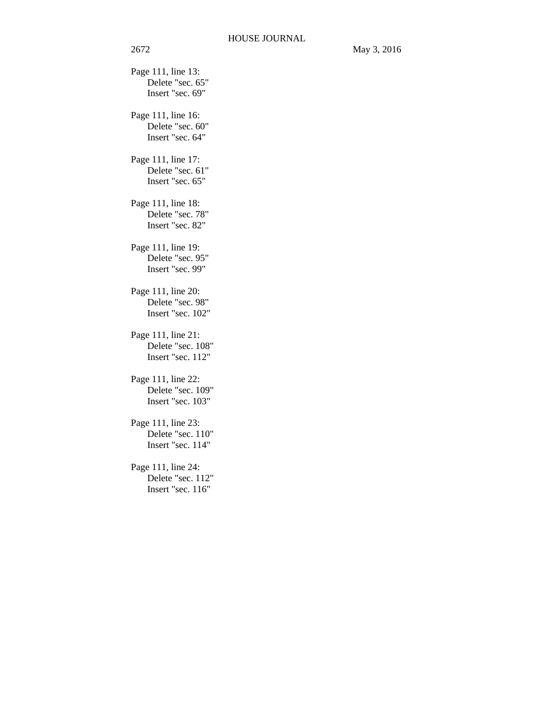Page 111, line 13: Delete "sec. 65" Insert "sec. 69" Page 111, line 16: Delete "sec. 60" Insert "sec. 64" Page 111, line 17: Delete "sec. 61" Insert "sec. 65" Page 111, line 18: Delete "sec. 78" Insert "sec. 82" Page 111, line 19: Delete "sec. 95" Insert "sec. 99" Page 111, line 20: Delete "sec. 98" Insert "sec. 102" Page 111, line 21: Delete "sec. 108" Insert "sec. 112" Page 111, line 22: Delete "sec. 109" Insert "sec. 103" Page 111, line 23: Delete "sec. 110" Insert "sec. 114" Page 111, line 24: Delete "sec. 112" Insert "sec. 116"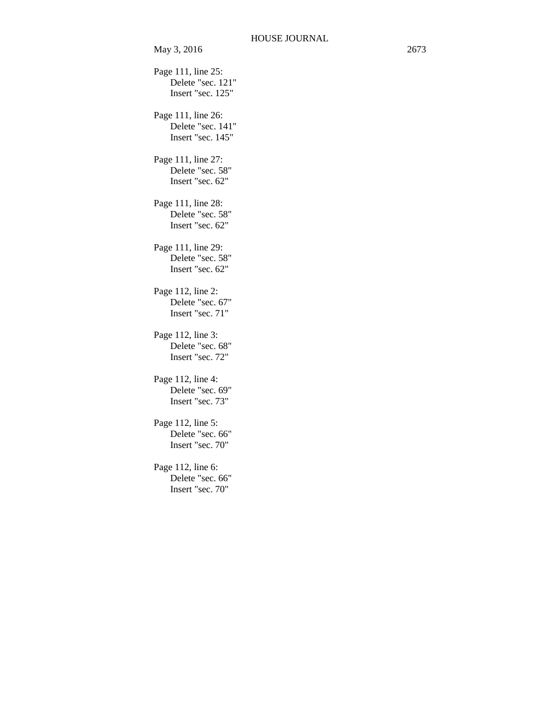Page 111, line 25: Delete "sec. 121" Insert "sec. 125" Page 111, line 26: Delete "sec. 141" Insert "sec. 145" Page 111, line 27: Delete "sec. 58" Insert "sec. 62" Page 111, line 28: Delete "sec. 58" Insert "sec. 62" Page 111, line 29: Delete "sec. 58" Insert "sec. 62" Page 112, line 2: Delete "sec. 67" Insert "sec. 71" Page 112, line 3: Delete "sec. 68" Insert "sec. 72" Page 112, line 4: Delete "sec. 69" Insert "sec. 73" Page 112, line 5: Delete "sec. 66" Insert "sec. 70" Page 112, line 6: Delete "sec. 66" Insert "sec. 70"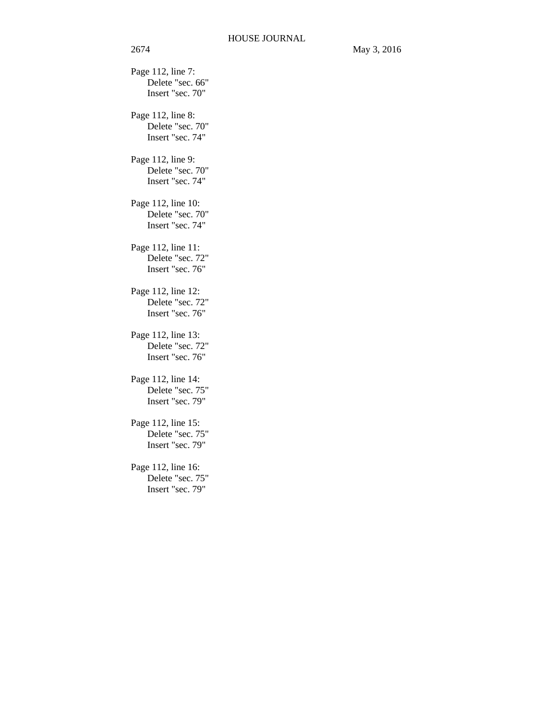Page 112, line 7: Delete "sec. 66" Insert "sec. 70" Page 112, line 8: Delete "sec. 70" Insert "sec. 74" Page 112, line 9: Delete "sec. 70" Insert "sec. 74" Page 112, line 10: Delete "sec. 70" Insert "sec. 74" Page 112, line 11: Delete "sec. 72" Insert "sec. 76" Page 112, line 12: Delete "sec. 72" Insert "sec. 76" Page 112, line 13: Delete "sec. 72" Insert "sec. 76" Page 112, line 14: Delete "sec. 75" Insert "sec. 79" Page 112, line 15: Delete "sec. 75" Insert "sec. 79" Page 112, line 16: Delete "sec. 75" Insert "sec. 79"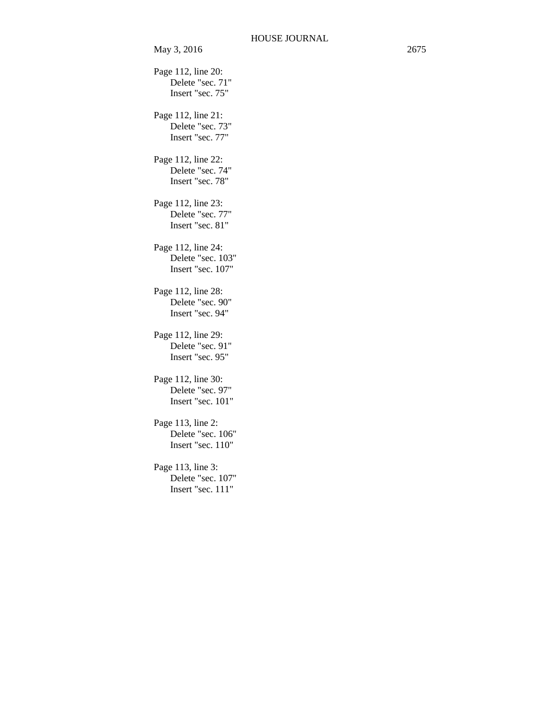Page 112, line 20: Delete "sec. 71" Insert "sec. 75" Page 112, line 21: Delete "sec. 73" Insert "sec. 77" Page 112, line 22: Delete "sec. 74" Insert "sec. 78" Page 112, line 23: Delete "sec. 77" Insert "sec. 81" Page 112, line 24: Delete "sec. 103" Insert "sec. 107" Page 112, line 28: Delete "sec. 90" Insert "sec. 94" Page 112, line 29: Delete "sec. 91" Insert "sec. 95" Page 112, line 30: Delete "sec. 97" Insert "sec. 101" Page 113, line 2: Delete "sec. 106" Insert "sec. 110" Page 113, line 3: Delete "sec. 107" Insert "sec. 111"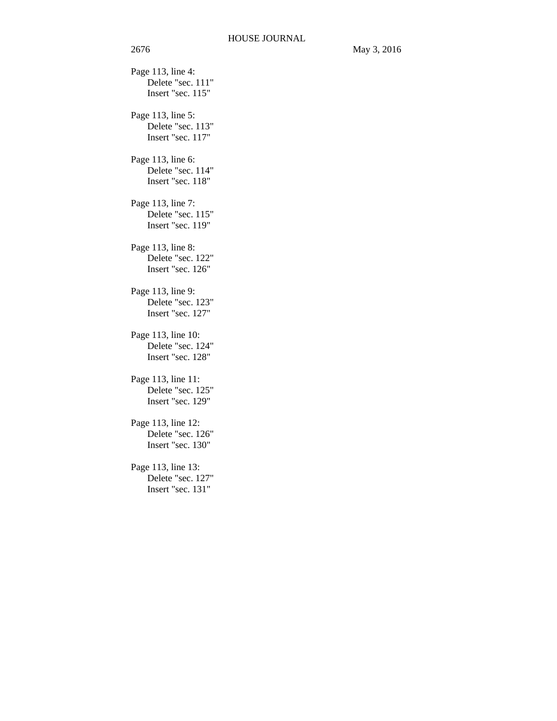Page 113, line 4: Delete "sec. 111" Insert "sec. 115" Page 113, line 5: Delete "sec. 113" Insert "sec. 117" Page 113, line 6: Delete "sec. 114" Insert "sec. 118" Page 113, line 7: Delete "sec. 115" Insert "sec. 119" Page 113, line 8: Delete "sec. 122" Insert "sec. 126" Page 113, line 9: Delete "sec. 123" Insert "sec. 127" Page 113, line 10: Delete "sec. 124" Insert "sec. 128" Page 113, line 11: Delete "sec. 125" Insert "sec. 129" Page 113, line 12: Delete "sec. 126" Insert "sec. 130" Page 113, line 13: Delete "sec. 127" Insert "sec. 131"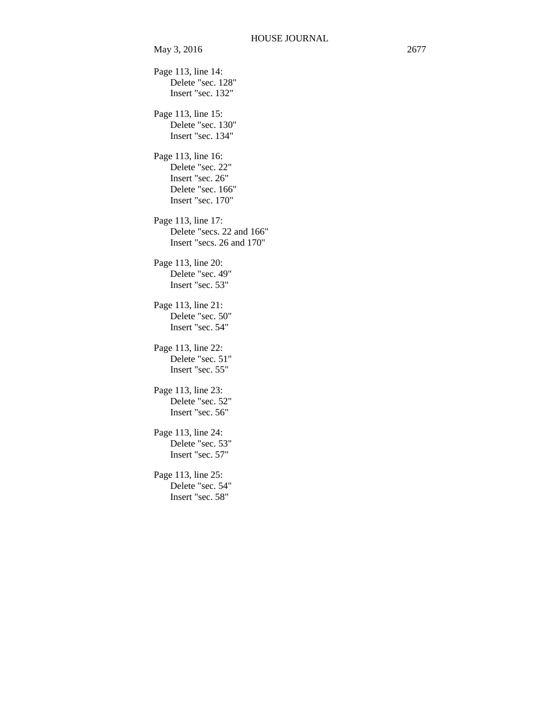Page 113, line 14: Delete "sec. 128" Insert "sec. 132" Page 113, line 15: Delete "sec. 130" Insert "sec. 134" Page 113, line 16: Delete "sec. 22" Insert "sec. 26" Delete "sec. 166" Insert "sec. 170" Page 113, line 17: Delete "secs. 22 and 166" Insert "secs. 26 and 170" Page 113, line 20: Delete "sec. 49" Insert "sec. 53" Page 113, line 21: Delete "sec. 50" Insert "sec. 54" Page 113, line 22: Delete "sec. 51" Insert "sec. 55" Page 113, line 23: Delete "sec. 52" Insert "sec. 56" Page 113, line 24: Delete "sec. 53" Insert "sec. 57" Page 113, line 25: Delete "sec. 54" Insert "sec. 58"

May 3, 2016 2677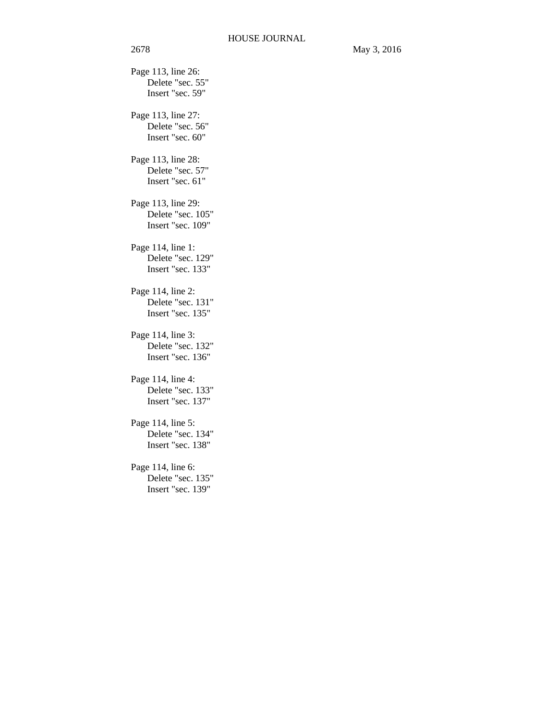Page 113, line 26: Delete "sec. 55" Insert "sec. 59" Page 113, line 27: Delete "sec. 56" Insert "sec. 60" Page 113, line 28: Delete "sec. 57" Insert "sec. 61" Page 113, line 29: Delete "sec. 105" Insert "sec. 109" Page 114, line 1: Delete "sec. 129" Insert "sec. 133" Page 114, line 2: Delete "sec. 131" Insert "sec. 135" Page 114, line 3: Delete "sec. 132" Insert "sec. 136" Page 114, line 4: Delete "sec. 133" Insert "sec. 137" Page 114, line 5: Delete "sec. 134" Insert "sec. 138" Page 114, line 6: Delete "sec. 135" Insert "sec. 139"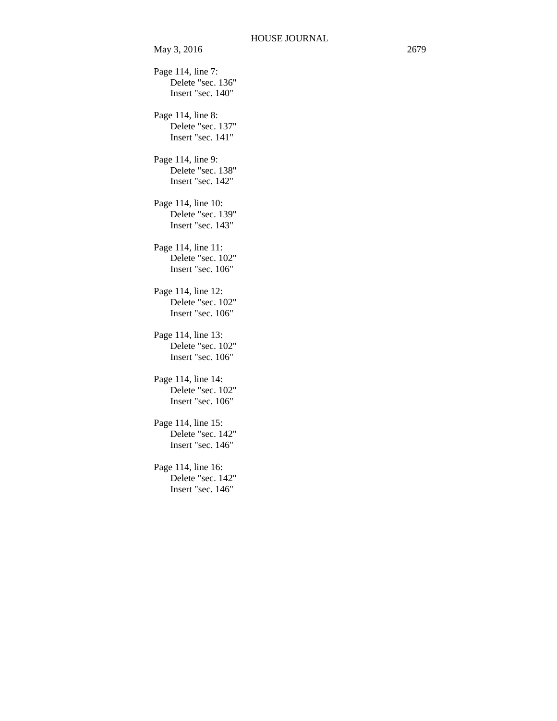Page 114, line 7: Delete "sec. 136" Insert "sec. 140" Page 114, line 8: Delete "sec. 137" Insert "sec. 141" Page 114, line 9: Delete "sec. 138" Insert "sec. 142" Page 114, line 10: Delete "sec. 139" Insert "sec. 143" Page 114, line 11: Delete "sec. 102" Insert "sec. 106" Page 114, line 12: Delete "sec. 102" Insert "sec. 106" Page 114, line 13: Delete "sec. 102" Insert "sec. 106" Page 114, line 14: Delete "sec. 102" Insert "sec. 106" Page 114, line 15: Delete "sec. 142" Insert "sec. 146" Page 114, line 16:

> Delete "sec. 142" Insert "sec. 146"

May 3, 2016 2679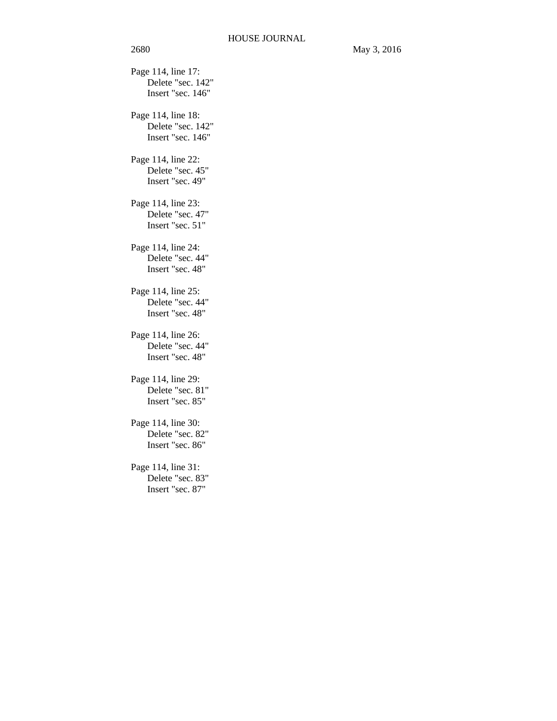Page 114, line 17: Delete "sec. 142" Insert "sec. 146" Page 114, line 18: Delete "sec. 142" Insert "sec. 146" Page 114, line 22: Delete "sec. 45" Insert "sec. 49" Page 114, line 23: Delete "sec. 47" Insert "sec. 51" Page 114, line 24: Delete "sec. 44" Insert "sec. 48" Page 114, line 25: Delete "sec. 44" Insert "sec. 48" Page 114, line 26: Delete "sec. 44" Insert "sec. 48" Page 114, line 29: Delete "sec. 81" Insert "sec. 85" Page 114, line 30: Delete "sec. 82" Insert "sec. 86" Page 114, line 31: Delete "sec. 83" Insert "sec. 87"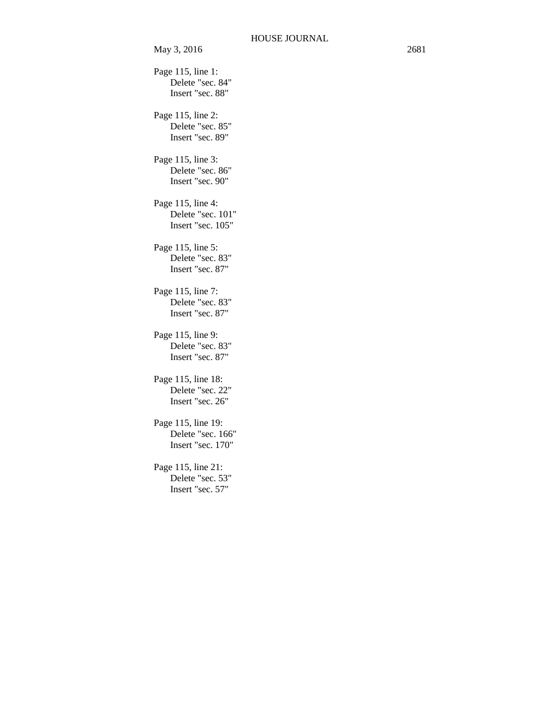Page 115, line 1: Delete "sec. 84" Insert "sec. 88" Page 115, line 2: Delete "sec. 85" Insert "sec. 89" Page 115, line 3: Delete "sec. 86" Insert "sec. 90" Page 115, line 4: Delete "sec. 101" Insert "sec. 105" Page 115, line 5: Delete "sec. 83" Insert "sec. 87" Page 115, line 7: Delete "sec. 83" Insert "sec. 87" Page 115, line 9: Delete "sec. 83" Insert "sec. 87" Page 115, line 18: Delete "sec. 22" Insert "sec. 26" Page 115, line 19: Delete "sec. 166" Insert "sec. 170" Page 115, line 21: Delete "sec. 53" Insert "sec. 57"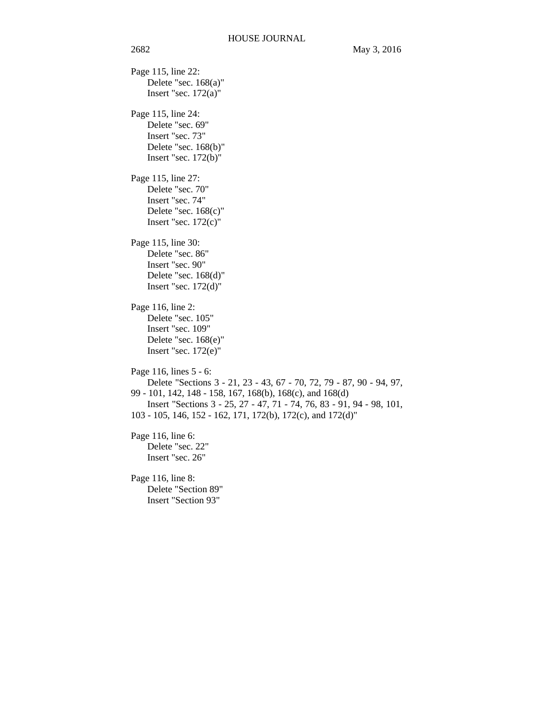Page 115, line 22: Delete "sec. 168(a)" Insert "sec.  $172(a)$ " Page 115, line 24: Delete "sec. 69" Insert "sec. 73" Delete "sec. 168(b)" Insert "sec. 172(b)" Page 115, line 27: Delete "sec. 70" Insert "sec. 74" Delete "sec. 168(c)" Insert "sec.  $172(c)$ " Page 115, line 30: Delete "sec. 86" Insert "sec. 90" Delete "sec. 168(d)" Insert "sec. 172(d)" Page 116, line 2: Delete "sec. 105" Insert "sec. 109" Delete "sec. 168(e)" Insert "sec. 172(e)" Page 116, lines 5 - 6: Delete "Sections 3 - 21, 23 - 43, 67 - 70, 72, 79 - 87, 90 - 94, 97, 99 - 101, 142, 148 - 158, 167, 168(b), 168(c), and 168(d) Insert "Sections 3 - 25, 27 - 47, 71 - 74, 76, 83 - 91, 94 - 98, 101, 103 - 105, 146, 152 - 162, 171, 172(b), 172(c), and 172(d)" Page 116, line 6: Delete "sec. 22" Insert "sec. 26" Page 116, line 8: Delete "Section 89" Insert "Section 93"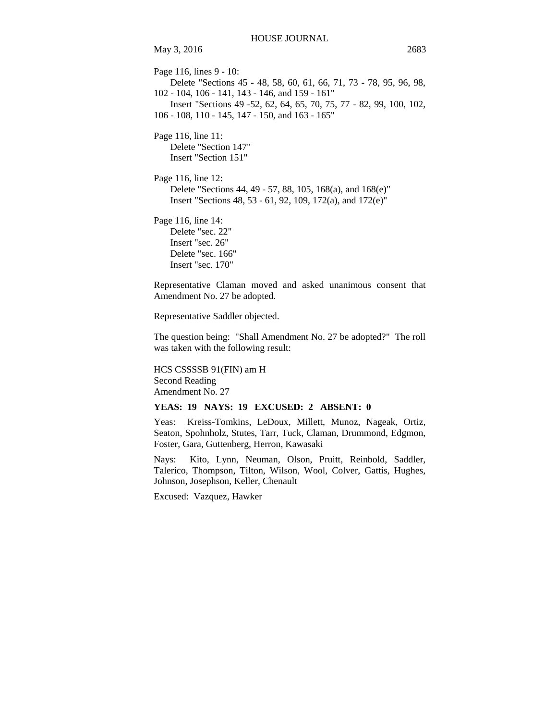May 3, 2016 2683 Page 116, lines 9 - 10: Delete "Sections 45 - 48, 58, 60, 61, 66, 71, 73 - 78, 95, 96, 98, 102 - 104, 106 - 141, 143 - 146, and 159 - 161" Insert "Sections 49 -52, 62, 64, 65, 70, 75, 77 - 82, 99, 100, 102, 106 - 108, 110 - 145, 147 - 150, and 163 - 165" Page 116, line 11: Delete "Section 147" Insert "Section 151" Page 116, line 12: Delete "Sections 44, 49 - 57, 88, 105, 168(a), and 168(e)" Insert "Sections 48, 53 - 61, 92, 109, 172(a), and 172(e)" Page 116, line 14:

Delete "sec. 22" Insert "sec. 26" Delete "sec. 166" Insert "sec. 170"

Representative Claman moved and asked unanimous consent that Amendment No. 27 be adopted.

Representative Saddler objected.

The question being: "Shall Amendment No. 27 be adopted?" The roll was taken with the following result:

HCS CSSSSB 91(FIN) am H Second Reading Amendment No. 27

### **YEAS: 19 NAYS: 19 EXCUSED: 2 ABSENT: 0**

Yeas: Kreiss-Tomkins, LeDoux, Millett, Munoz, Nageak, Ortiz, Seaton, Spohnholz, Stutes, Tarr, Tuck, Claman, Drummond, Edgmon, Foster, Gara, Guttenberg, Herron, Kawasaki

Nays: Kito, Lynn, Neuman, Olson, Pruitt, Reinbold, Saddler, Talerico, Thompson, Tilton, Wilson, Wool, Colver, Gattis, Hughes, Johnson, Josephson, Keller, Chenault

Excused: Vazquez, Hawker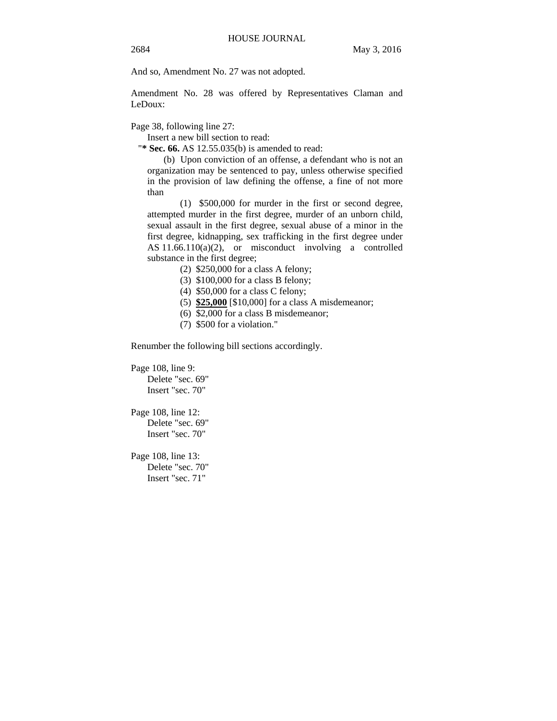And so, Amendment No. 27 was not adopted.

Amendment No. 28 was offered by Representatives Claman and LeDoux:

Page 38, following line 27:

Insert a new bill section to read:

"**\* Sec. 66.** AS 12.55.035(b) is amended to read:

(b) Upon conviction of an offense, a defendant who is not an organization may be sentenced to pay, unless otherwise specified in the provision of law defining the offense, a fine of not more than

(1) \$500,000 for murder in the first or second degree, attempted murder in the first degree, murder of an unborn child, sexual assault in the first degree, sexual abuse of a minor in the first degree, kidnapping, sex trafficking in the first degree under AS 11.66.110(a)(2), or misconduct involving a controlled substance in the first degree;

(2) \$250,000 for a class A felony;

(3) \$100,000 for a class B felony;

(4) \$50,000 for a class C felony;

(5) **\$25,000** [\$10,000] for a class A misdemeanor;

(6) \$2,000 for a class B misdemeanor;

(7) \$500 for a violation."

Renumber the following bill sections accordingly.

Page 108, line 9:

Delete "sec. 69" Insert "sec. 70"

Page 108, line 12: Delete "sec. 69" Insert "sec. 70"

Page 108, line 13: Delete "sec. 70" Insert "sec. 71"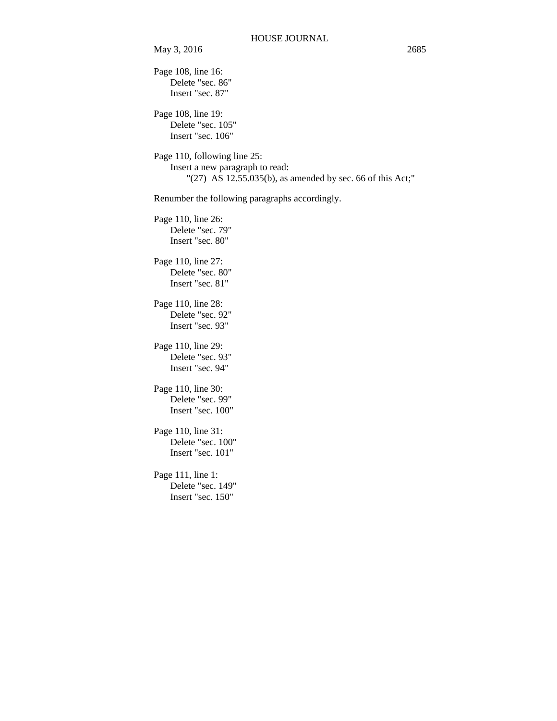May 3, 2016 2685

Page 108, line 16: Delete "sec. 86" Insert "sec. 87" Page 108, line 19: Delete "sec. 105" Insert "sec. 106" Page 110, following line 25: Insert a new paragraph to read: "(27) AS 12.55.035(b), as amended by sec. 66 of this Act;" Renumber the following paragraphs accordingly. Page 110, line 26: Delete "sec. 79" Insert "sec. 80" Page 110, line 27: Delete "sec. 80" Insert "sec. 81" Page 110, line 28: Delete "sec. 92" Insert "sec. 93" Page 110, line 29: Delete "sec. 93" Insert "sec. 94" Page 110, line 30: Delete "sec. 99" Insert "sec. 100" Page 110, line 31: Delete "sec. 100" Insert "sec. 101" Page 111, line 1: Delete "sec. 149" Insert "sec. 150"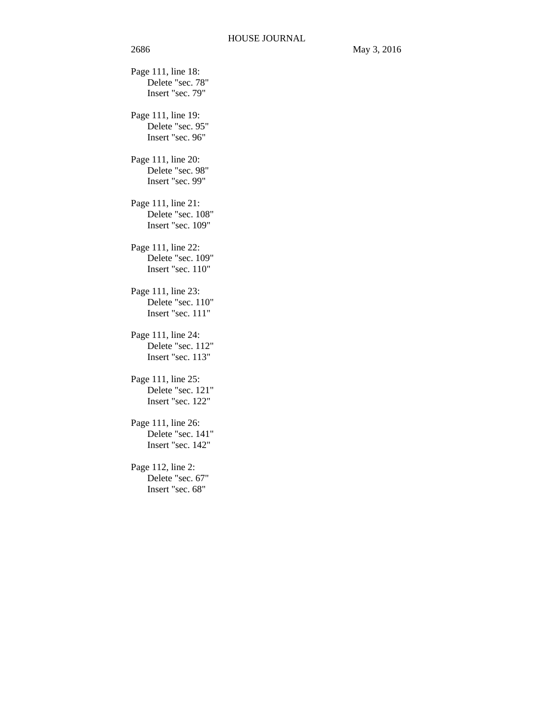Page 111, line 18: Delete "sec. 78" Insert "sec. 79" Page 111, line 19: Delete "sec. 95" Insert "sec. 96" Page 111, line 20: Delete "sec. 98" Insert "sec. 99" Page 111, line 21: Delete "sec. 108" Insert "sec. 109" Page 111, line 22: Delete "sec. 109" Insert "sec. 110" Page 111, line 23: Delete "sec. 110" Insert "sec. 111" Page 111, line 24: Delete "sec. 112" Insert "sec. 113" Page 111, line 25: Delete "sec. 121" Insert "sec. 122" Page 111, line 26: Delete "sec. 141" Insert "sec. 142" Page 112, line 2: Delete "sec. 67" Insert "sec. 68"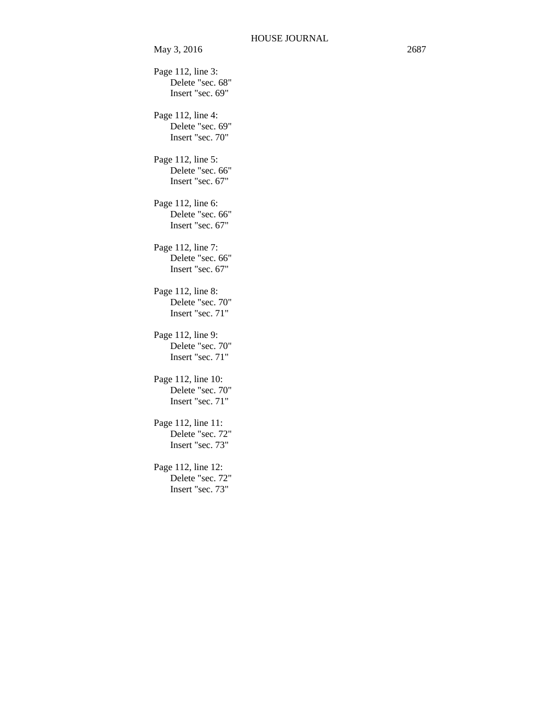Page 112, line 3: Delete "sec. 68" Insert "sec. 69" Page 112, line 4: Delete "sec. 69" Insert "sec. 70" Page 112, line 5: Delete "sec. 66" Insert "sec. 67" Page 112, line 6: Delete "sec. 66" Insert "sec. 67" Page 112, line 7: Delete "sec. 66" Insert "sec. 67" Page 112, line 8: Delete "sec. 70" Insert "sec. 71" Page 112, line 9: Delete "sec. 70" Insert "sec. 71" Page 112, line 10: Delete "sec. 70" Insert "sec. 71" Page 112, line 11: Delete "sec. 72" Insert "sec. 73" Page 112, line 12: Delete "sec. 72" Insert "sec. 73"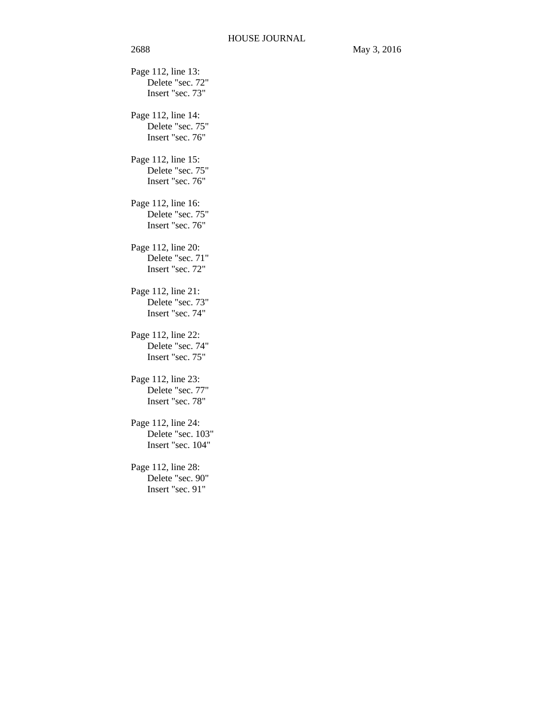Page 112, line 13: Delete "sec. 72" Insert "sec. 73" Page 112, line 14: Delete "sec. 75" Insert "sec. 76" Page 112, line 15: Delete "sec. 75" Insert "sec. 76" Page 112, line 16: Delete "sec. 75" Insert "sec. 76" Page 112, line 20: Delete "sec. 71" Insert "sec. 72" Page 112, line 21: Delete "sec. 73" Insert "sec. 74" Page 112, line 22: Delete "sec. 74" Insert "sec. 75" Page 112, line 23: Delete "sec. 77" Insert "sec. 78" Page 112, line 24: Delete "sec. 103" Insert "sec. 104" Page 112, line 28:

Delete "sec. 90" Insert "sec. 91"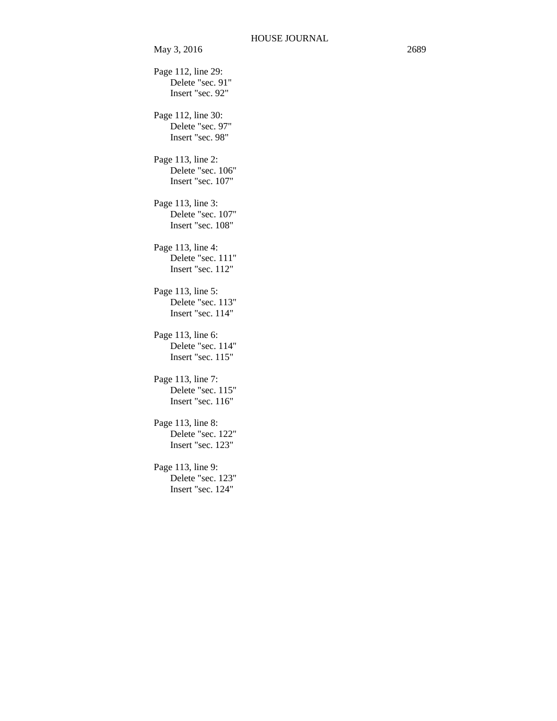May 3, 2016 2689 Page 112, line 29: Delete "sec. 91" Insert "sec. 92" Page 112, line 30: Delete "sec. 97" Insert "sec. 98" Page 113, line 2: Delete "sec. 106" Insert "sec. 107" Page 113, line 3: Delete "sec. 107" Insert "sec. 108" Page 113, line 4: Delete "sec. 111" Insert "sec. 112" Page 113, line 5: Delete "sec. 113" Insert "sec. 114" Page 113, line 6: Delete "sec. 114" Insert "sec. 115" Page 113, line 7: Delete "sec. 115" Insert "sec. 116" Page 113, line 8: Delete "sec. 122" Insert "sec. 123" Page 113, line 9: Delete "sec. 123" Insert "sec. 124"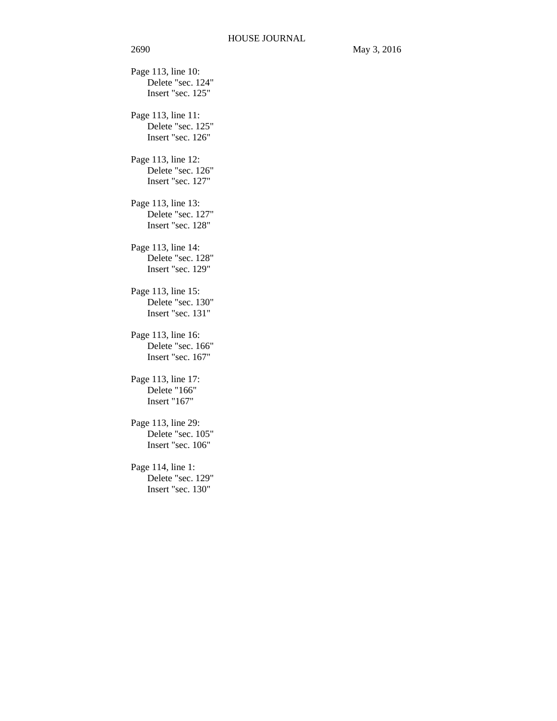Page 113, line 10: Delete "sec. 124" Insert "sec. 125" Page 113, line 11: Delete "sec. 125" Insert "sec. 126" Page 113, line 12: Delete "sec. 126" Insert "sec. 127" Page 113, line 13: Delete "sec. 127" Insert "sec. 128" Page 113, line 14: Delete "sec. 128" Insert "sec. 129" Page 113, line 15: Delete "sec. 130" Insert "sec. 131" Page 113, line 16: Delete "sec. 166" Insert "sec. 167" Page 113, line 17: Delete "166" Insert "167" Page 113, line 29: Delete "sec. 105" Insert "sec. 106" Page 114, line 1: Delete "sec. 129" Insert "sec. 130"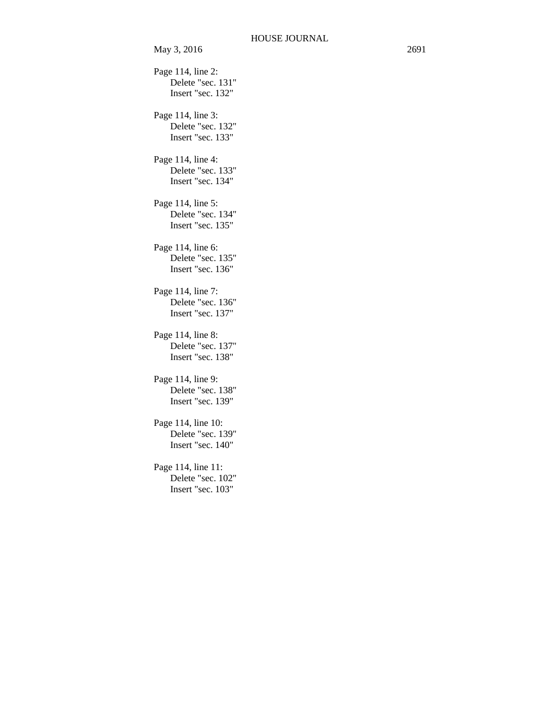May 3, 2016 2691 Page 114, line 2: Delete "sec. 131" Insert "sec. 132" Page 114, line 3: Delete "sec. 132" Insert "sec. 133" Page 114, line 4: Delete "sec. 133" Insert "sec. 134" Page 114, line 5: Delete "sec. 134" Insert "sec. 135" Page 114, line 6: Delete "sec. 135" Insert "sec. 136" Page 114, line 7: Delete "sec. 136" Insert "sec. 137" Page 114, line 8: Delete "sec. 137" Insert "sec. 138" Page 114, line 9: Delete "sec. 138" Insert "sec. 139" Page 114, line 10: Delete "sec. 139" Insert "sec. 140" Page 114, line 11: Delete "sec. 102" Insert "sec. 103"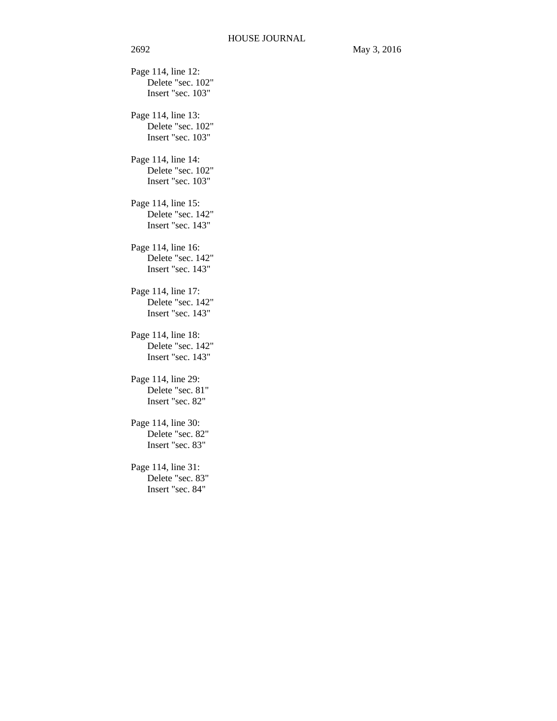Page 114, line 12: Delete "sec. 102" Insert "sec. 103" Page 114, line 13: Delete "sec. 102" Insert "sec. 103" Page 114, line 14: Delete "sec. 102" Insert "sec. 103" Page 114, line 15: Delete "sec. 142" Insert "sec. 143" Page 114, line 16: Delete "sec. 142" Insert "sec. 143" Page 114, line 17: Delete "sec. 142" Insert "sec. 143" Page 114, line 18: Delete "sec. 142" Insert "sec. 143" Page 114, line 29: Delete "sec. 81" Insert "sec. 82" Page 114, line 30: Delete "sec. 82" Insert "sec. 83" Page 114, line 31: Delete "sec. 83" Insert "sec. 84"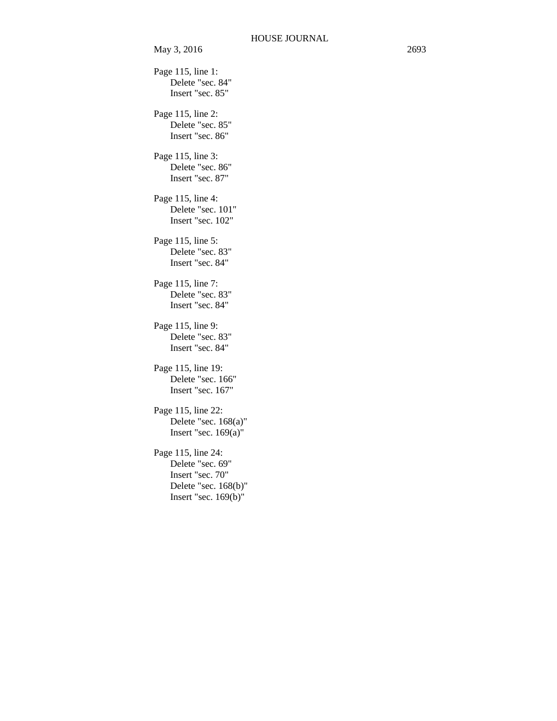Page 115, line 1: Delete "sec. 84" Insert "sec. 85" Page 115, line 2: Delete "sec. 85" Insert "sec. 86" Page 115, line 3: Delete "sec. 86" Insert "sec. 87" Page 115, line 4: Delete "sec. 101" Insert "sec. 102" Page 115, line 5: Delete "sec. 83" Insert "sec. 84" Page 115, line 7: Delete "sec. 83" Insert "sec. 84" Page 115, line 9: Delete "sec. 83" Insert "sec. 84" Page 115, line 19: Delete "sec. 166" Insert "sec. 167" Page 115, line 22: Delete "sec. 168(a)" Insert "sec. 169(a)" Page 115, line 24: Delete "sec. 69" Insert "sec. 70" Delete "sec. 168(b)" Insert "sec. 169(b)"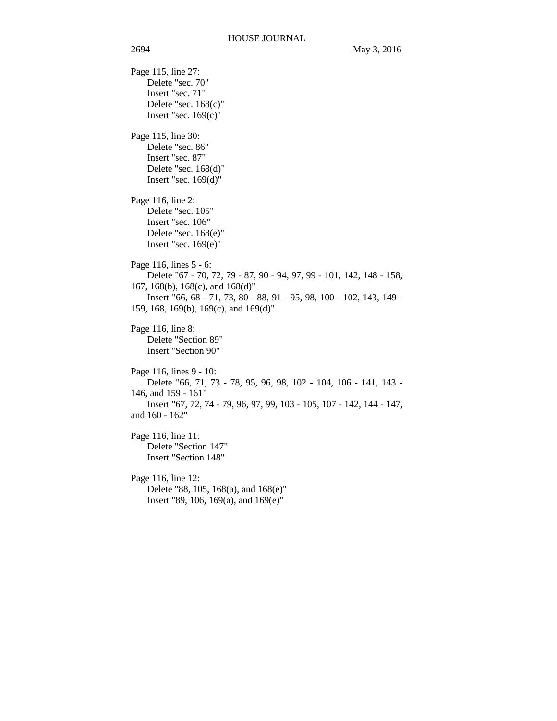Page 115, line 27: Delete "sec. 70" Insert "sec. 71" Delete "sec. 168(c)" Insert "sec. 169(c)" Page 115, line 30: Delete "sec. 86" Insert "sec. 87" Delete "sec. 168(d)" Insert "sec. 169(d)" Page 116, line 2: Delete "sec. 105" Insert "sec. 106" Delete "sec. 168(e)" Insert "sec. 169(e)" Page 116, lines 5 - 6: Delete "67 - 70, 72, 79 - 87, 90 - 94, 97, 99 - 101, 142, 148 - 158, 167, 168(b), 168(c), and 168(d)" Insert "66, 68 - 71, 73, 80 - 88, 91 - 95, 98, 100 - 102, 143, 149 - 159, 168, 169(b), 169(c), and 169(d)" Page 116, line 8: Delete "Section 89" Insert "Section 90" Page 116, lines 9 - 10: Delete "66, 71, 73 - 78, 95, 96, 98, 102 - 104, 106 - 141, 143 - 146, and 159 - 161" Insert "67, 72, 74 - 79, 96, 97, 99, 103 - 105, 107 - 142, 144 - 147, and 160 - 162" Page 116, line 11: Delete "Section 147" Insert "Section 148" Page 116, line 12: Delete "88, 105, 168(a), and 168(e)" Insert "89, 106, 169(a), and 169(e)"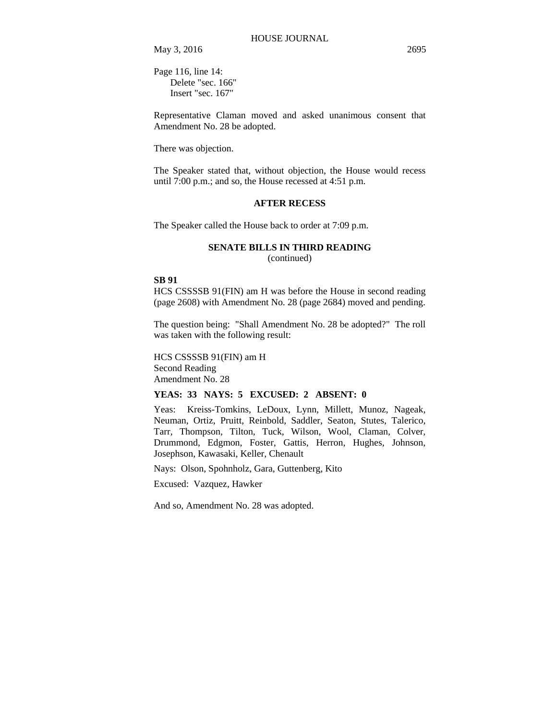May 3, 2016 2695

Page 116, line 14: Delete "sec. 166" Insert "sec. 167"

Representative Claman moved and asked unanimous consent that Amendment No. 28 be adopted.

There was objection.

The Speaker stated that, without objection, the House would recess until 7:00 p.m.; and so, the House recessed at 4:51 p.m.

### **AFTER RECESS**

The Speaker called the House back to order at 7:09 p.m.

# **SENATE BILLS IN THIRD READING**

(continued)

### **SB 91**

HCS CSSSSB 91(FIN) am H was before the House in second reading (page 2608) with Amendment No. 28 (page 2684) moved and pending.

The question being: "Shall Amendment No. 28 be adopted?" The roll was taken with the following result:

HCS CSSSSB 91(FIN) am H Second Reading Amendment No. 28

### **YEAS: 33 NAYS: 5 EXCUSED: 2 ABSENT: 0**

Yeas: Kreiss-Tomkins, LeDoux, Lynn, Millett, Munoz, Nageak, Neuman, Ortiz, Pruitt, Reinbold, Saddler, Seaton, Stutes, Talerico, Tarr, Thompson, Tilton, Tuck, Wilson, Wool, Claman, Colver, Drummond, Edgmon, Foster, Gattis, Herron, Hughes, Johnson, Josephson, Kawasaki, Keller, Chenault

Nays: Olson, Spohnholz, Gara, Guttenberg, Kito

Excused: Vazquez, Hawker

And so, Amendment No. 28 was adopted.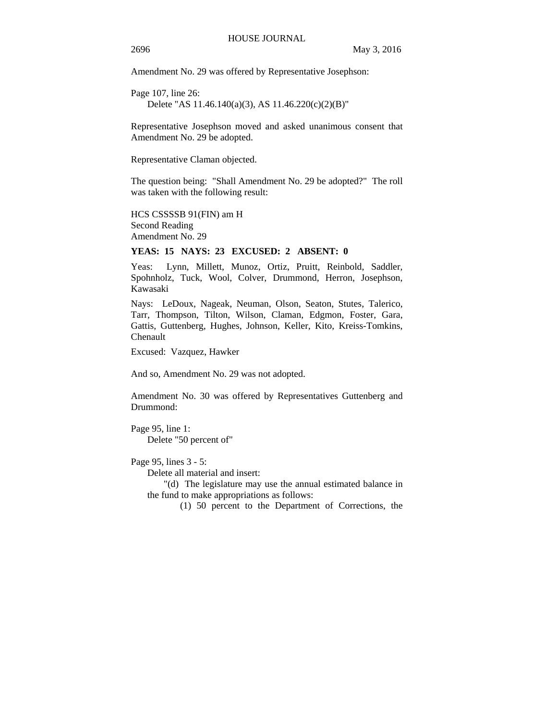Amendment No. 29 was offered by Representative Josephson:

Page 107, line 26: Delete "AS 11.46.140(a)(3), AS 11.46.220(c)(2)(B)"

Representative Josephson moved and asked unanimous consent that Amendment No. 29 be adopted.

Representative Claman objected.

The question being: "Shall Amendment No. 29 be adopted?" The roll was taken with the following result:

HCS CSSSSB 91(FIN) am H Second Reading Amendment No. 29

#### **YEAS: 15 NAYS: 23 EXCUSED: 2 ABSENT: 0**

Yeas: Lynn, Millett, Munoz, Ortiz, Pruitt, Reinbold, Saddler, Spohnholz, Tuck, Wool, Colver, Drummond, Herron, Josephson, Kawasaki

Nays: LeDoux, Nageak, Neuman, Olson, Seaton, Stutes, Talerico, Tarr, Thompson, Tilton, Wilson, Claman, Edgmon, Foster, Gara, Gattis, Guttenberg, Hughes, Johnson, Keller, Kito, Kreiss-Tomkins, Chenault

Excused: Vazquez, Hawker

And so, Amendment No. 29 was not adopted.

Amendment No. 30 was offered by Representatives Guttenberg and Drummond:

Page 95, line 1: Delete "50 percent of"

Page 95, lines 3 - 5:

Delete all material and insert:

"(d) The legislature may use the annual estimated balance in the fund to make appropriations as follows:

(1) 50 percent to the Department of Corrections, the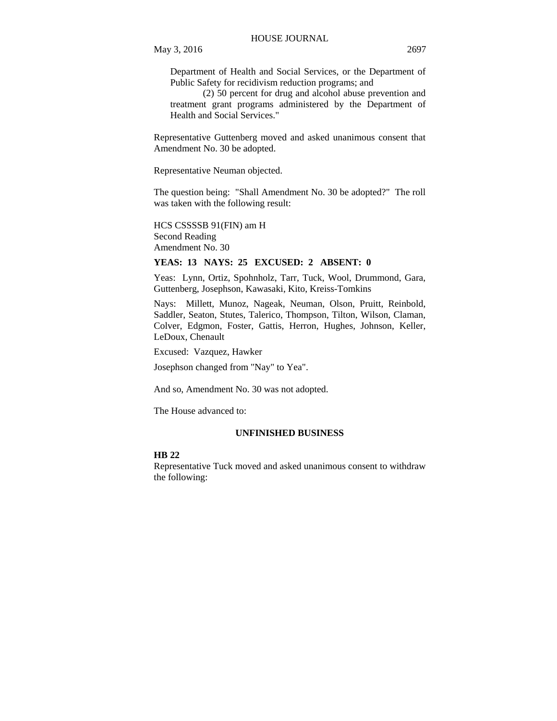Department of Health and Social Services, or the Department of Public Safety for recidivism reduction programs; and

(2) 50 percent for drug and alcohol abuse prevention and treatment grant programs administered by the Department of Health and Social Services."

Representative Guttenberg moved and asked unanimous consent that Amendment No. 30 be adopted.

Representative Neuman objected.

The question being: "Shall Amendment No. 30 be adopted?" The roll was taken with the following result:

HCS CSSSSB 91(FIN) am H Second Reading Amendment No. 30

# **YEAS: 13 NAYS: 25 EXCUSED: 2 ABSENT: 0**

Yeas: Lynn, Ortiz, Spohnholz, Tarr, Tuck, Wool, Drummond, Gara, Guttenberg, Josephson, Kawasaki, Kito, Kreiss-Tomkins

Nays: Millett, Munoz, Nageak, Neuman, Olson, Pruitt, Reinbold, Saddler, Seaton, Stutes, Talerico, Thompson, Tilton, Wilson, Claman, Colver, Edgmon, Foster, Gattis, Herron, Hughes, Johnson, Keller, LeDoux, Chenault

Excused: Vazquez, Hawker

Josephson changed from "Nay" to Yea".

And so, Amendment No. 30 was not adopted.

The House advanced to:

#### **UNFINISHED BUSINESS**

#### **HB 22**

Representative Tuck moved and asked unanimous consent to withdraw the following: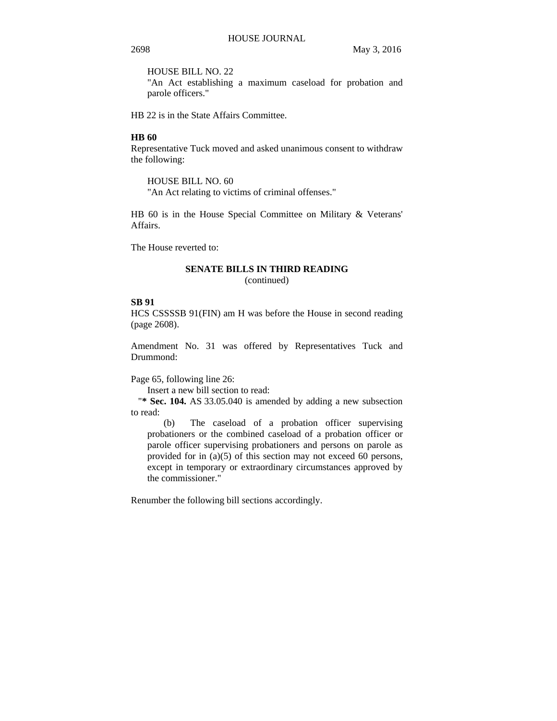HOUSE BILL NO. 22

"An Act establishing a maximum caseload for probation and parole officers."

HB 22 is in the State Affairs Committee.

### **HB 60**

Representative Tuck moved and asked unanimous consent to withdraw the following:

HOUSE BILL NO. 60

"An Act relating to victims of criminal offenses."

HB 60 is in the House Special Committee on Military & Veterans' Affairs.

The House reverted to:

### **SENATE BILLS IN THIRD READING**

(continued)

# **SB 91**

HCS CSSSSB 91(FIN) am H was before the House in second reading (page 2608).

Amendment No. 31 was offered by Representatives Tuck and Drummond:

Page 65, following line 26:

Insert a new bill section to read:

"**\* Sec. 104.** AS 33.05.040 is amended by adding a new subsection to read:

(b) The caseload of a probation officer supervising probationers or the combined caseload of a probation officer or parole officer supervising probationers and persons on parole as provided for in (a)(5) of this section may not exceed 60 persons, except in temporary or extraordinary circumstances approved by the commissioner."

Renumber the following bill sections accordingly.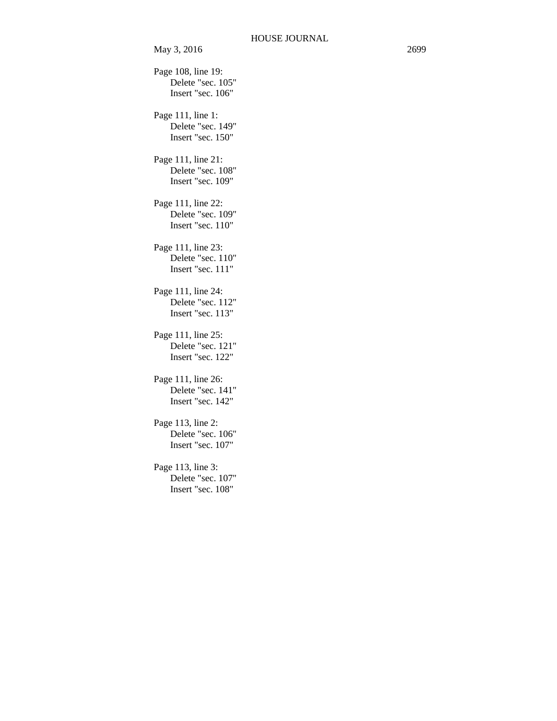May 3, 2016 2699 Page 108, line 19: Delete "sec. 105" Insert "sec. 106" Page 111, line 1: Delete "sec. 149" Insert "sec. 150" Page 111, line 21: Delete "sec. 108" Insert "sec. 109" Page 111, line 22: Delete "sec. 109" Insert "sec. 110" Page 111, line 23: Delete "sec. 110" Insert "sec. 111" Page 111, line 24: Delete "sec. 112" Insert "sec. 113" Page 111, line 25: Delete "sec. 121" Insert "sec. 122"

Page 111, line 26: Delete "sec. 141" Insert "sec. 142"

Page 113, line 2: Delete "sec. 106" Insert "sec. 107"

Page 113, line 3: Delete "sec. 107" Insert "sec. 108"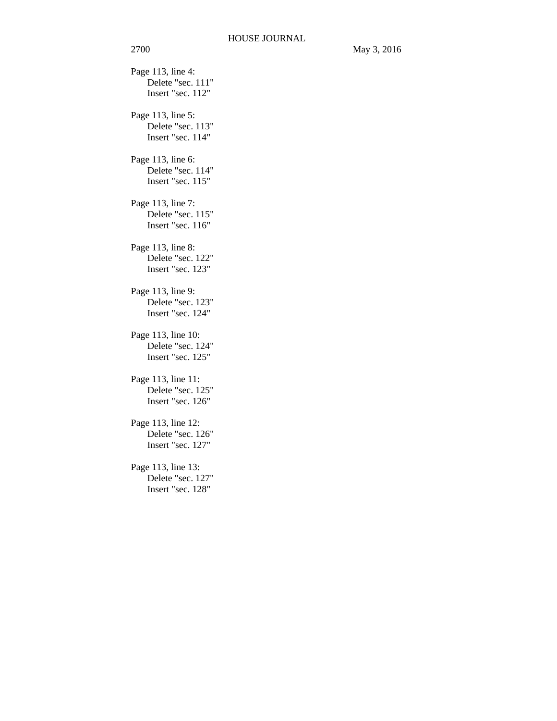Page 113, line 4: Delete "sec. 111" Insert "sec. 112" Page 113, line 5: Delete "sec. 113" Insert "sec. 114" Page 113, line 6: Delete "sec. 114" Insert "sec. 115" Page 113, line 7: Delete "sec. 115" Insert "sec. 116" Page 113, line 8: Delete "sec. 122" Insert "sec. 123" Page 113, line 9: Delete "sec. 123" Insert "sec. 124" Page 113, line 10: Delete "sec. 124" Insert "sec. 125" Page 113, line 11: Delete "sec. 125" Insert "sec. 126" Page 113, line 12: Delete "sec. 126" Insert "sec. 127" Page 113, line 13: Delete "sec. 127" Insert "sec. 128"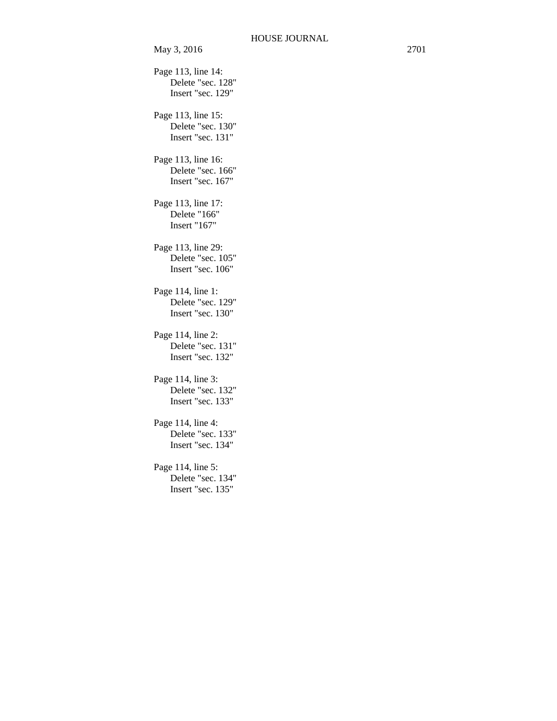May 3, 2016 2701 Page 113, line 14: Delete "sec. 128" Insert "sec. 129" Page 113, line 15: Delete "sec. 130" Insert "sec. 131" Page 113, line 16: Delete "sec. 166" Insert "sec. 167" Page 113, line 17: Delete "166" Insert "167" Page 113, line 29: Delete "sec. 105" Insert "sec. 106" Page 114, line 1: Delete "sec. 129" Insert "sec. 130" Page 114, line 2: Delete "sec. 131" Insert "sec. 132" Page 114, line 3: Delete "sec. 132" Insert "sec. 133" Page 114, line 4: Delete "sec. 133" Insert "sec. 134" Page 114, line 5: Delete "sec. 134" Insert "sec. 135"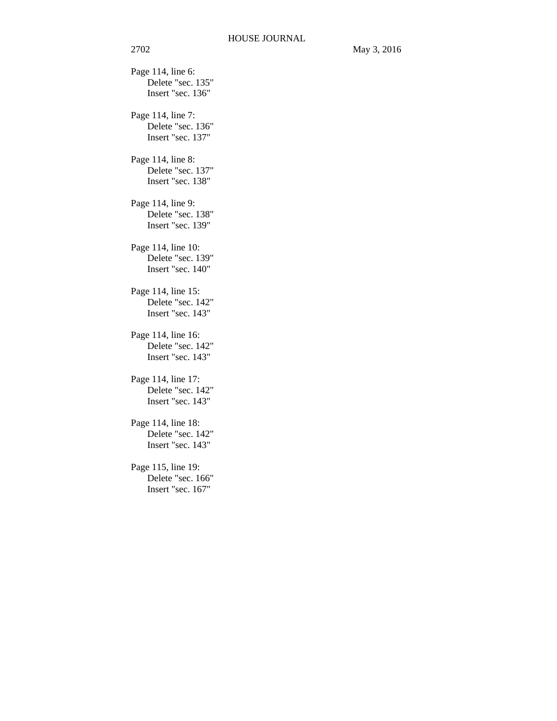Page 114, line 6: Delete "sec. 135" Insert "sec. 136" Page 114, line 7: Delete "sec. 136" Insert "sec. 137" Page 114, line 8: Delete "sec. 137" Insert "sec. 138" Page 114, line 9: Delete "sec. 138" Insert "sec. 139" Page 114, line 10: Delete "sec. 139" Insert "sec. 140" Page 114, line 15: Delete "sec. 142" Insert "sec. 143" Page 114, line 16: Delete "sec. 142" Insert "sec. 143" Page 114, line 17: Delete "sec. 142" Insert "sec. 143" Page 114, line 18: Delete "sec. 142" Insert "sec. 143" Page 115, line 19: Delete "sec. 166" Insert "sec. 167"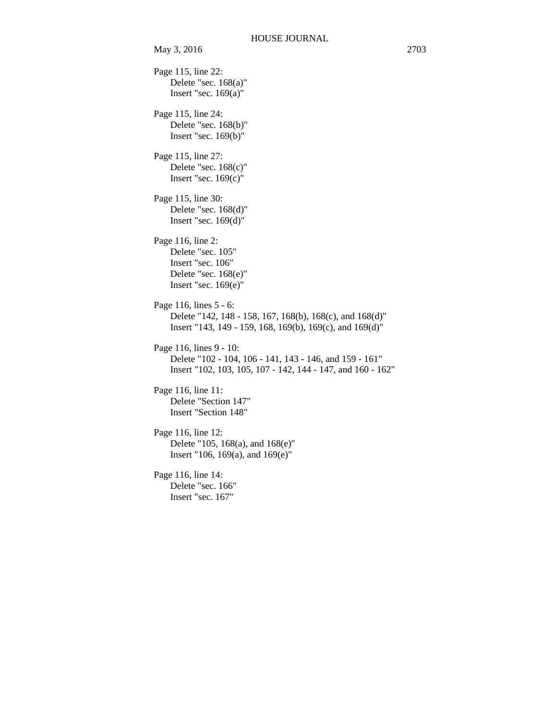Page 115, line 22: Delete "sec. 168(a)" Insert "sec.  $169(a)$ " Page 115, line 24: Delete "sec. 168(b)" Insert "sec. 169(b)" Page 115, line 27: Delete "sec. 168(c)" Insert "sec. 169(c)" Page 115, line 30: Delete "sec. 168(d)" Insert "sec. 169(d)" Page 116, line 2: Delete "sec. 105" Insert "sec. 106" Delete "sec. 168(e)" Insert "sec. 169(e)" Page 116, lines 5 - 6: Delete "142, 148 - 158, 167, 168(b), 168(c), and 168(d)" Insert "143, 149 - 159, 168, 169(b), 169(c), and 169(d)" Page 116, lines 9 - 10: Delete "102 - 104, 106 - 141, 143 - 146, and 159 - 161" Insert "102, 103, 105, 107 - 142, 144 - 147, and 160 - 162" Page 116, line 11: Delete "Section 147" Insert "Section 148" Page 116, line 12: Delete "105, 168(a), and 168(e)" Insert "106, 169(a), and 169(e)" Page 116, line 14: Delete "sec. 166" Insert "sec. 167"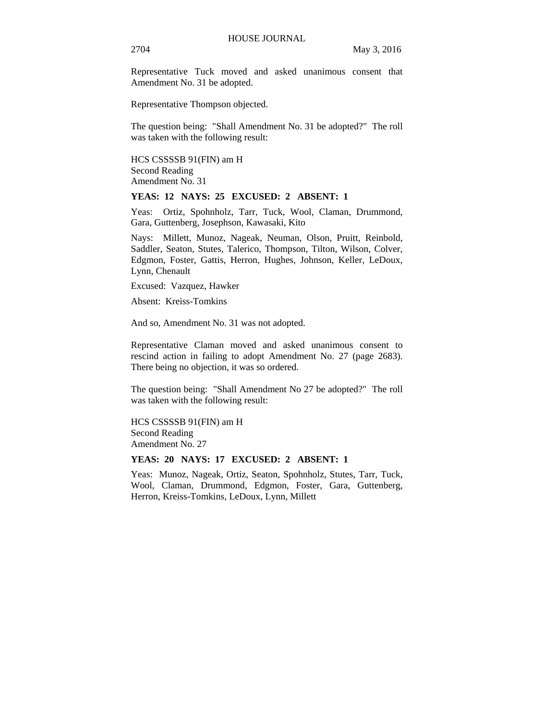Representative Tuck moved and asked unanimous consent that Amendment No. 31 be adopted.

Representative Thompson objected.

The question being: "Shall Amendment No. 31 be adopted?" The roll was taken with the following result:

HCS CSSSSB 91(FIN) am H Second Reading Amendment No. 31

### **YEAS: 12 NAYS: 25 EXCUSED: 2 ABSENT: 1**

Yeas: Ortiz, Spohnholz, Tarr, Tuck, Wool, Claman, Drummond, Gara, Guttenberg, Josephson, Kawasaki, Kito

Nays: Millett, Munoz, Nageak, Neuman, Olson, Pruitt, Reinbold, Saddler, Seaton, Stutes, Talerico, Thompson, Tilton, Wilson, Colver, Edgmon, Foster, Gattis, Herron, Hughes, Johnson, Keller, LeDoux, Lynn, Chenault

Excused: Vazquez, Hawker

Absent: Kreiss-Tomkins

And so, Amendment No. 31 was not adopted.

Representative Claman moved and asked unanimous consent to rescind action in failing to adopt Amendment No. 27 (page 2683). There being no objection, it was so ordered.

The question being: "Shall Amendment No 27 be adopted?" The roll was taken with the following result:

HCS CSSSSB 91(FIN) am H Second Reading Amendment No. 27

#### **YEAS: 20 NAYS: 17 EXCUSED: 2 ABSENT: 1**

Yeas: Munoz, Nageak, Ortiz, Seaton, Spohnholz, Stutes, Tarr, Tuck, Wool, Claman, Drummond, Edgmon, Foster, Gara, Guttenberg, Herron, Kreiss-Tomkins, LeDoux, Lynn, Millett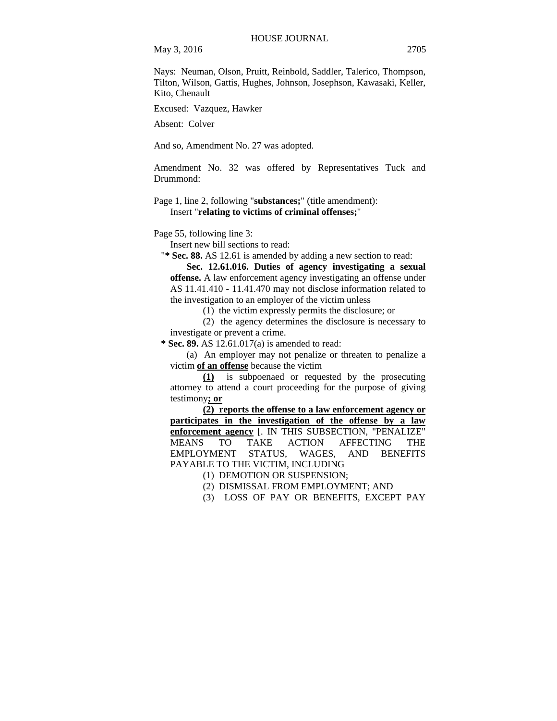May 3, 2016 2705

Nays: Neuman, Olson, Pruitt, Reinbold, Saddler, Talerico, Thompson, Tilton, Wilson, Gattis, Hughes, Johnson, Josephson, Kawasaki, Keller, Kito, Chenault

Excused: Vazquez, Hawker

Absent: Colver

And so, Amendment No. 27 was adopted.

Amendment No. 32 was offered by Representatives Tuck and Drummond:

Page 1, line 2, following "**substances;**" (title amendment): Insert "**relating to victims of criminal offenses;**"

Page 55, following line 3:

Insert new bill sections to read:

"**\* Sec. 88.** AS 12.61 is amended by adding a new section to read:

**Sec. 12.61.016. Duties of agency investigating a sexual offense.** A law enforcement agency investigating an offense under AS 11.41.410 - 11.41.470 may not disclose information related to the investigation to an employer of the victim unless

(1) the victim expressly permits the disclosure; or

(2) the agency determines the disclosure is necessary to investigate or prevent a crime.

 **\* Sec. 89.** AS 12.61.017(a) is amended to read:

(a) An employer may not penalize or threaten to penalize a victim **of an offense** because the victim

**(1)** is subpoenaed or requested by the prosecuting attorney to attend a court proceeding for the purpose of giving testimony**; or**

**(2) reports the offense to a law enforcement agency or participates in the investigation of the offense by a law enforcement agency** [. IN THIS SUBSECTION, "PENALIZE" MEANS TO TAKE ACTION AFFECTING THE EMPLOYMENT STATUS, WAGES, AND BENEFITS PAYABLE TO THE VICTIM, INCLUDING

(1) DEMOTION OR SUSPENSION;

(2) DISMISSAL FROM EMPLOYMENT; AND

(3) LOSS OF PAY OR BENEFITS, EXCEPT PAY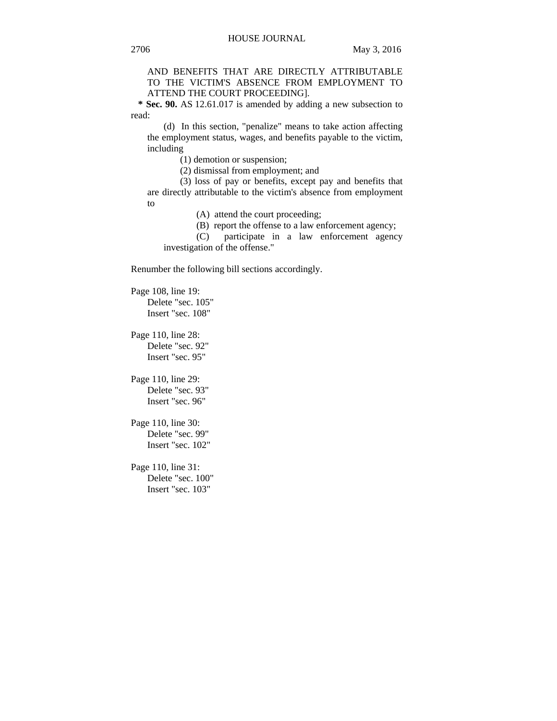AND BENEFITS THAT ARE DIRECTLY ATTRIBUTABLE TO THE VICTIM'S ABSENCE FROM EMPLOYMENT TO ATTEND THE COURT PROCEEDING].

 **\* Sec. 90.** AS 12.61.017 is amended by adding a new subsection to read:

(d) In this section, "penalize" means to take action affecting the employment status, wages, and benefits payable to the victim, including

(1) demotion or suspension;

(2) dismissal from employment; and

(3) loss of pay or benefits, except pay and benefits that are directly attributable to the victim's absence from employment to

(A) attend the court proceeding;

(B) report the offense to a law enforcement agency;

(C) participate in a law enforcement agency investigation of the offense."

Renumber the following bill sections accordingly.

Page 108, line 19: Delete "sec. 105" Insert "sec. 108"

Page 110, line 28: Delete "sec. 92" Insert "sec. 95"

Page 110, line 29: Delete "sec. 93" Insert "sec. 96"

Page 110, line 30: Delete "sec. 99" Insert "sec. 102"

Page 110, line 31: Delete "sec. 100" Insert "sec. 103"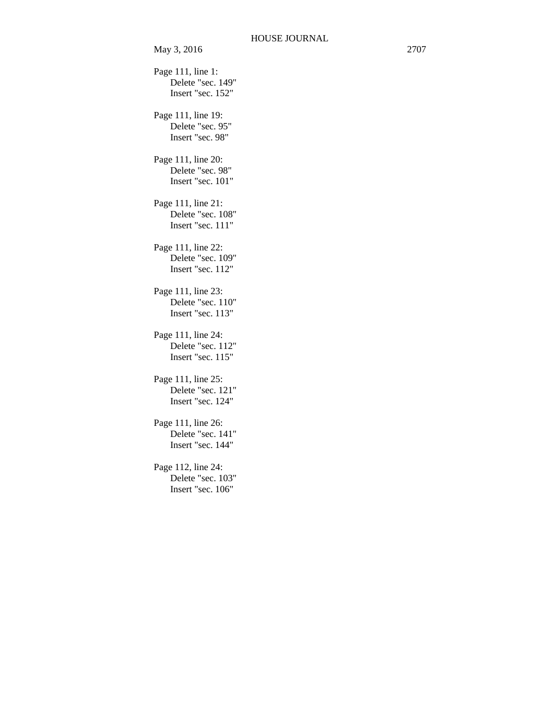May 3, 2016 2707 Page 111, line 1: Delete "sec. 149" Insert "sec. 152" Page 111, line 19: Delete "sec. 95" Insert "sec. 98" Page 111, line 20: Delete "sec. 98" Insert "sec. 101" Page 111, line 21: Delete "sec. 108" Insert "sec. 111" Page 111, line 22: Delete "sec. 109" Insert "sec. 112" Page 111, line 23: Delete "sec. 110" Insert "sec. 113" Page 111, line 24: Delete "sec. 112" Insert "sec. 115" Page 111, line 25: Delete "sec. 121" Insert "sec. 124" Page 111, line 26: Delete "sec. 141" Insert "sec. 144" Page 112, line 24: Delete "sec. 103" Insert "sec. 106"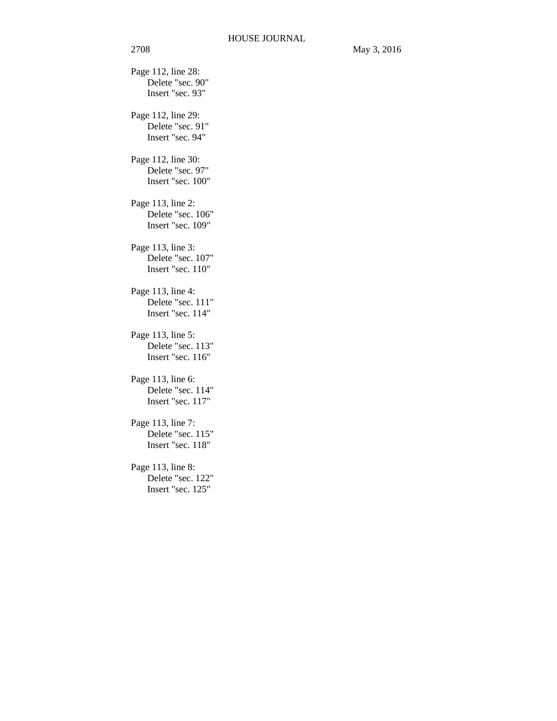Page 112, line 28: Delete "sec. 90" Insert "sec. 93" Page 112, line 29: Delete "sec. 91" Insert "sec. 94" Page 112, line 30: Delete "sec. 97" Insert "sec. 100" Page 113, line 2: Delete "sec. 106" Insert "sec. 109" Page 113, line 3: Delete "sec. 107" Insert "sec. 110" Page 113, line 4: Delete "sec. 111" Insert "sec. 114" Page 113, line 5: Delete "sec. 113" Insert "sec. 116" Page 113, line 6: Delete "sec. 114" Insert "sec. 117" Page 113, line 7: Delete "sec. 115" Insert "sec. 118" Page 113, line 8: Delete "sec. 122" Insert "sec. 125"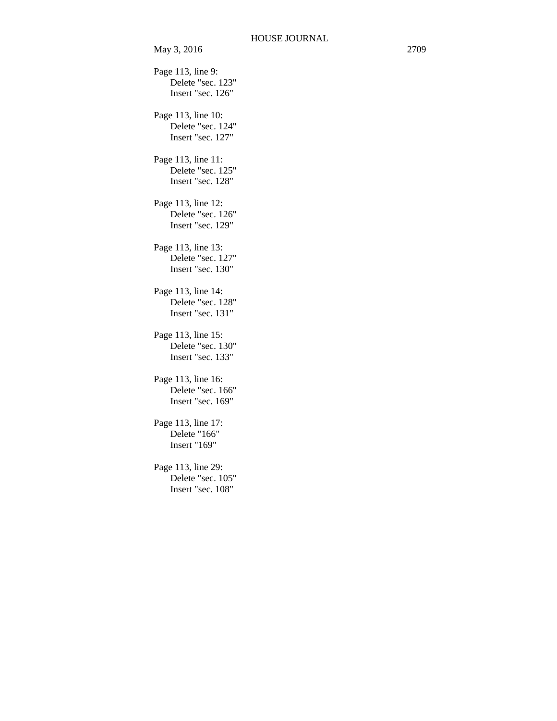Page 113, line 9: Delete "sec. 123" Insert "sec. 126" Page 113, line 10: Delete "sec. 124" Insert "sec. 127" Page 113, line 11: Delete "sec. 125" Insert "sec. 128" Page 113, line 12: Delete "sec. 126" Insert "sec. 129" Page 113, line 13: Delete "sec. 127" Insert "sec. 130" Page 113, line 14: Delete "sec. 128" Insert "sec. 131" Page 113, line 15: Delete "sec. 130" Insert "sec. 133" Page 113, line 16: Delete "sec. 166" Insert "sec. 169" Page 113, line 17: Delete "166" Insert "169" Page 113, line 29: Delete "sec. 105" Insert "sec. 108"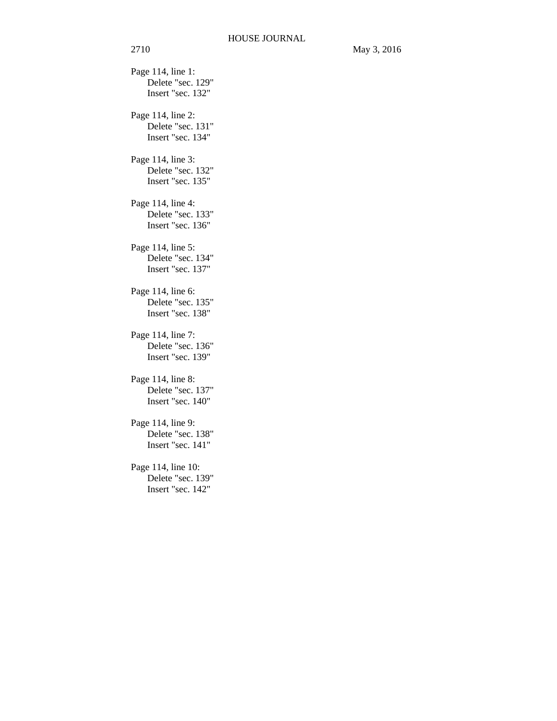Page 114, line 1: Delete "sec. 129" Insert "sec. 132" Page 114, line 2: Delete "sec. 131" Insert "sec. 134" Page 114, line 3: Delete "sec. 132" Insert "sec. 135" Page 114, line 4: Delete "sec. 133" Insert "sec. 136" Page 114, line 5: Delete "sec. 134" Insert "sec. 137" Page 114, line 6: Delete "sec. 135" Insert "sec. 138" Page 114, line 7: Delete "sec. 136" Insert "sec. 139" Page 114, line 8: Delete "sec. 137" Insert "sec. 140" Page 114, line 9: Delete "sec. 138" Insert "sec. 141" Page 114, line 10: Delete "sec. 139" Insert "sec. 142"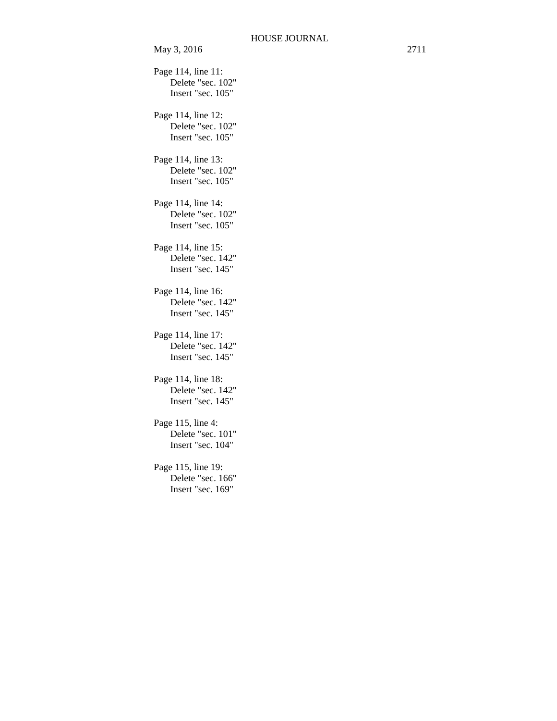| May 3, 2016                                                  | 2711 |
|--------------------------------------------------------------|------|
| Page 114, line 11:<br>Delete "sec. 102"<br>Insert "sec. 105" |      |
| Page 114, line 12:<br>Delete "sec. 102"<br>Insert "sec. 105" |      |
| Page 114, line 13:<br>Delete "sec. 102"<br>Insert "sec. 105" |      |
| Page 114, line 14:<br>Delete "sec. 102"<br>Insert "sec. 105" |      |
| Page 114, line 15:<br>Delete "sec. 142"<br>Insert "sec. 145" |      |
| Page 114, line 16:<br>Delete "sec. 142"<br>Insert "sec. 145" |      |
| Page 114, line 17:<br>Delete "sec. 142"<br>Insert "sec. 145" |      |
| Page 114, line 18:<br>Delete "sec. 142"<br>Insert "sec. 145" |      |
| Page 115, line 4:<br>Delete "sec. 101"<br>Insert "sec. 104"  |      |
| Page 115, line 19:<br>Delete "sec. 166"<br>Insert "sec. 169" |      |
|                                                              |      |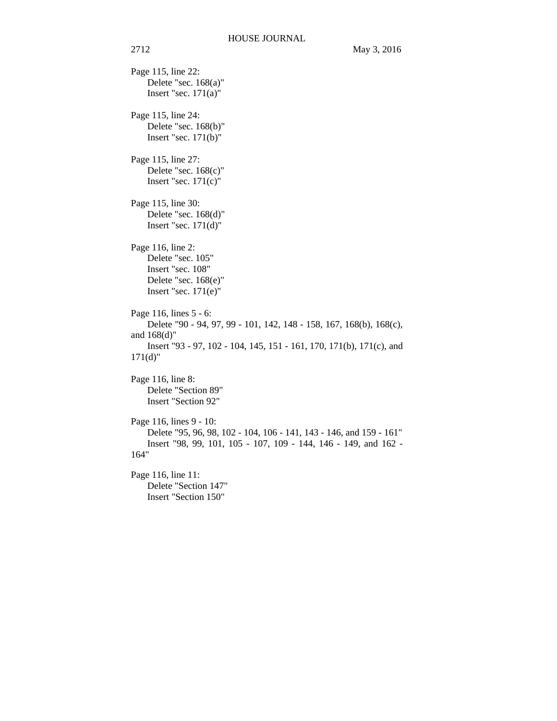Page 115, line 22: Delete "sec. 168(a)" Insert "sec.  $171(a)$ " Page 115, line 24: Delete "sec. 168(b)" Insert "sec. 171(b)" Page 115, line 27: Delete "sec. 168(c)" Insert "sec.  $171(c)$ " Page 115, line 30: Delete "sec. 168(d)" Insert "sec. 171(d)" Page 116, line 2: Delete "sec. 105" Insert "sec. 108" Delete "sec. 168(e)" Insert "sec.  $171(e)$ " Page 116, lines 5 - 6: Delete "90 - 94, 97, 99 - 101, 142, 148 - 158, 167, 168(b), 168(c), and 168(d)" Insert "93 - 97, 102 - 104, 145, 151 - 161, 170, 171(b), 171(c), and  $171(d)$ " Page 116, line 8: Delete "Section 89" Insert "Section 92" Page 116, lines 9 - 10: Delete "95, 96, 98, 102 - 104, 106 - 141, 143 - 146, and 159 - 161" Insert "98, 99, 101, 105 - 107, 109 - 144, 146 - 149, and 162 - 164" Page 116, line 11: Delete "Section 147" Insert "Section 150"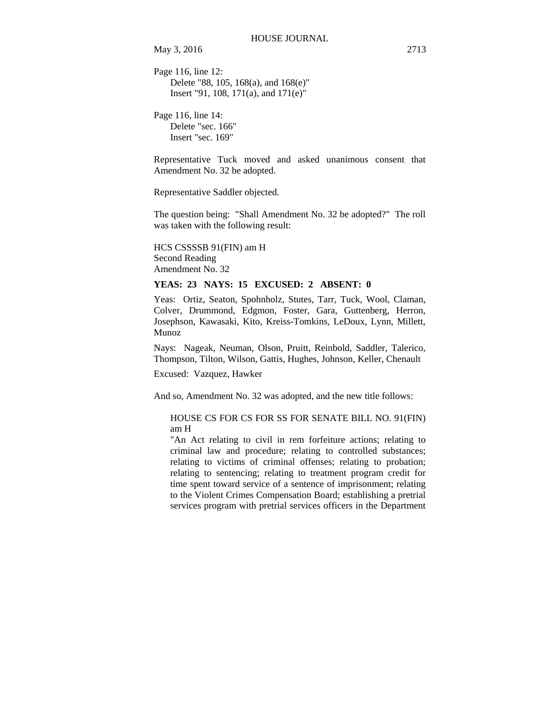May 3, 2016 2713

Page 116, line 12: Delete "88, 105, 168(a), and 168(e)" Insert "91, 108, 171(a), and 171(e)"

Page 116, line 14: Delete "sec. 166" Insert "sec. 169"

Representative Tuck moved and asked unanimous consent that Amendment No. 32 be adopted.

Representative Saddler objected.

The question being: "Shall Amendment No. 32 be adopted?" The roll was taken with the following result:

HCS CSSSSB 91(FIN) am H Second Reading Amendment No. 32

### **YEAS: 23 NAYS: 15 EXCUSED: 2 ABSENT: 0**

Yeas: Ortiz, Seaton, Spohnholz, Stutes, Tarr, Tuck, Wool, Claman, Colver, Drummond, Edgmon, Foster, Gara, Guttenberg, Herron, Josephson, Kawasaki, Kito, Kreiss-Tomkins, LeDoux, Lynn, Millett, Munoz

Nays: Nageak, Neuman, Olson, Pruitt, Reinbold, Saddler, Talerico, Thompson, Tilton, Wilson, Gattis, Hughes, Johnson, Keller, Chenault

Excused: Vazquez, Hawker

And so, Amendment No. 32 was adopted, and the new title follows:

HOUSE CS FOR CS FOR SS FOR SENATE BILL NO. 91(FIN) am H

"An Act relating to civil in rem forfeiture actions; relating to criminal law and procedure; relating to controlled substances; relating to victims of criminal offenses; relating to probation; relating to sentencing; relating to treatment program credit for time spent toward service of a sentence of imprisonment; relating to the Violent Crimes Compensation Board; establishing a pretrial services program with pretrial services officers in the Department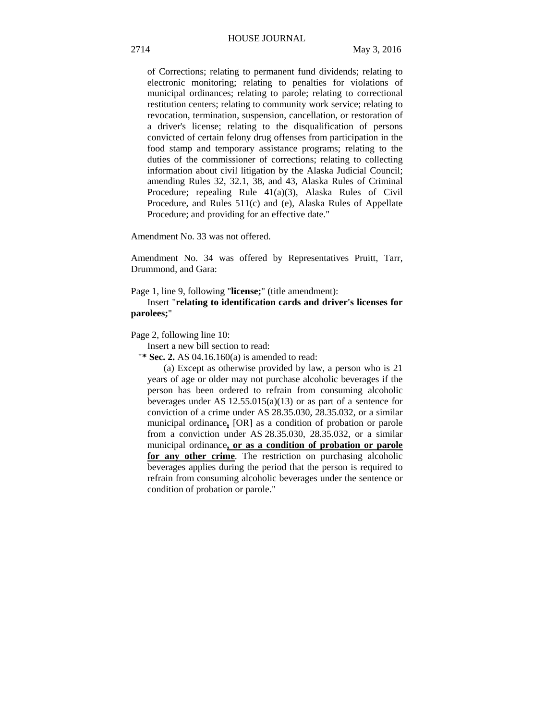of Corrections; relating to permanent fund dividends; relating to electronic monitoring; relating to penalties for violations of municipal ordinances; relating to parole; relating to correctional restitution centers; relating to community work service; relating to revocation, termination, suspension, cancellation, or restoration of a driver's license; relating to the disqualification of persons convicted of certain felony drug offenses from participation in the food stamp and temporary assistance programs; relating to the duties of the commissioner of corrections; relating to collecting information about civil litigation by the Alaska Judicial Council; amending Rules 32, 32.1, 38, and 43, Alaska Rules of Criminal Procedure; repealing Rule 41(a)(3), Alaska Rules of Civil Procedure, and Rules 511(c) and (e), Alaska Rules of Appellate Procedure; and providing for an effective date."

Amendment No. 33 was not offered.

Amendment No. 34 was offered by Representatives Pruitt, Tarr, Drummond, and Gara:

Page 1, line 9, following "**license;**" (title amendment):

Insert "**relating to identification cards and driver's licenses for parolees;**"

Page 2, following line 10:

Insert a new bill section to read:

"**\* Sec. 2.** AS 04.16.160(a) is amended to read:

(a) Except as otherwise provided by law, a person who is 21 years of age or older may not purchase alcoholic beverages if the person has been ordered to refrain from consuming alcoholic beverages under AS  $12.55.015(a)(13)$  or as part of a sentence for conviction of a crime under AS 28.35.030, 28.35.032, or a similar municipal ordinance**,** [OR] as a condition of probation or parole from a conviction under AS 28.35.030, 28.35.032, or a similar municipal ordinance**, or as a condition of probation or parole for any other crime**. The restriction on purchasing alcoholic beverages applies during the period that the person is required to refrain from consuming alcoholic beverages under the sentence or condition of probation or parole."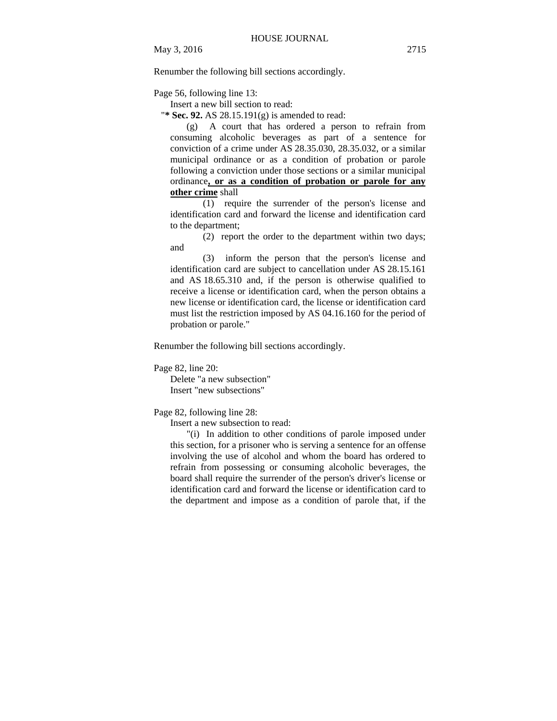Renumber the following bill sections accordingly.

Page 56, following line 13:

Insert a new bill section to read:

"**\* Sec. 92.** AS 28.15.191(g) is amended to read:

(g) A court that has ordered a person to refrain from consuming alcoholic beverages as part of a sentence for conviction of a crime under AS 28.35.030, 28.35.032, or a similar municipal ordinance or as a condition of probation or parole following a conviction under those sections or a similar municipal ordinance**, or as a condition of probation or parole for any other crime** shall

 $\overline{(1)}$  require the surrender of the person's license and identification card and forward the license and identification card to the department;

(2) report the order to the department within two days; and

(3) inform the person that the person's license and identification card are subject to cancellation under AS 28.15.161 and AS 18.65.310 and, if the person is otherwise qualified to receive a license or identification card, when the person obtains a new license or identification card, the license or identification card must list the restriction imposed by AS 04.16.160 for the period of probation or parole."

Renumber the following bill sections accordingly.

Page 82, line 20:

Delete "a new subsection" Insert "new subsections"

Page 82, following line 28:

Insert a new subsection to read:

"(i) In addition to other conditions of parole imposed under this section, for a prisoner who is serving a sentence for an offense involving the use of alcohol and whom the board has ordered to refrain from possessing or consuming alcoholic beverages, the board shall require the surrender of the person's driver's license or identification card and forward the license or identification card to the department and impose as a condition of parole that, if the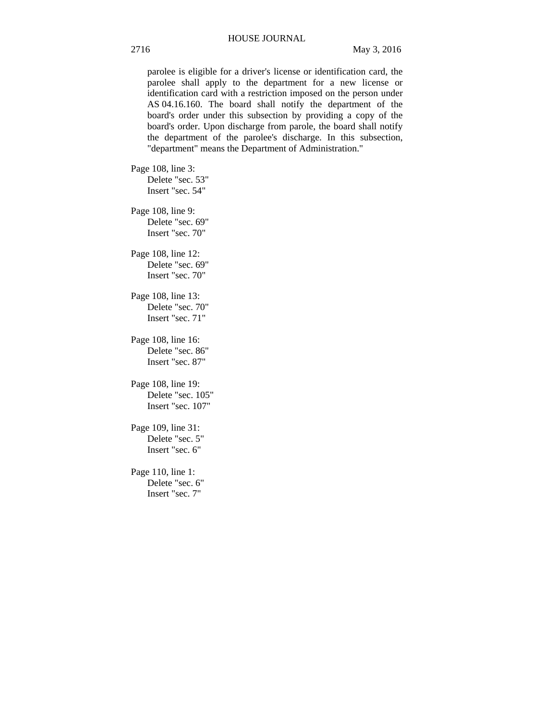parolee is eligible for a driver's license or identification card, the parolee shall apply to the department for a new license or identification card with a restriction imposed on the person under AS 04.16.160. The board shall notify the department of the board's order under this subsection by providing a copy of the board's order. Upon discharge from parole, the board shall notify the department of the parolee's discharge. In this subsection, "department" means the Department of Administration."

Page 108, line 3: Delete "sec. 53" Insert "sec. 54"

Page 108, line 9: Delete "sec. 69" Insert "sec. 70"

Page 108, line 12: Delete "sec. 69" Insert "sec. 70"

Page 108, line 13: Delete "sec. 70" Insert "sec. 71"

Page 108, line 16: Delete "sec. 86" Insert "sec. 87"

Page 108, line 19: Delete "sec. 105" Insert "sec. 107"

Page 109, line 31: Delete "sec. 5" Insert "sec. 6"

Page 110, line 1: Delete "sec. 6" Insert "sec. 7"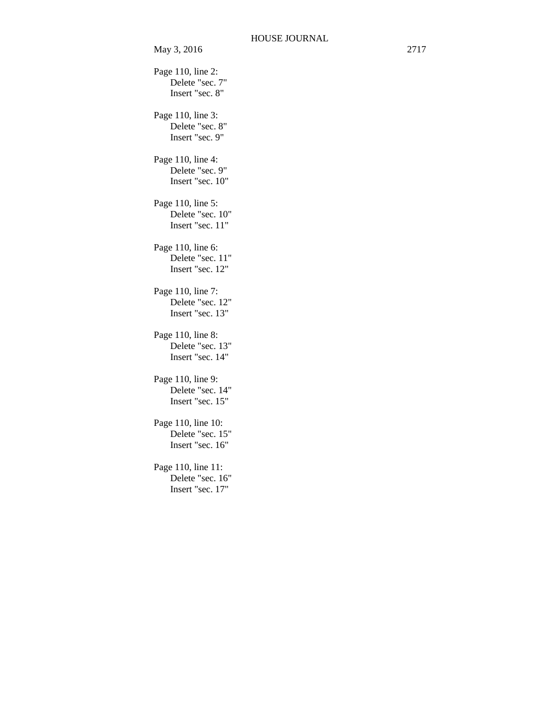Page 110, line 2: Delete "sec. 7" Insert "sec. 8" Page 110, line 3: Delete "sec. 8" Insert "sec. 9" Page 110, line 4: Delete "sec. 9" Insert "sec. 10" Page 110, line 5: Delete "sec. 10" Insert "sec. 11" Page 110, line 6: Delete "sec. 11" Insert "sec. 12" Page 110, line 7: Delete "sec. 12" Insert "sec. 13" Page 110, line 8: Delete "sec. 13" Insert "sec. 14" Page 110, line 9: Delete "sec. 14" Insert "sec. 15" Page 110, line 10: Delete "sec. 15" Insert "sec. 16" Page 110, line 11: Delete "sec. 16" Insert "sec. 17"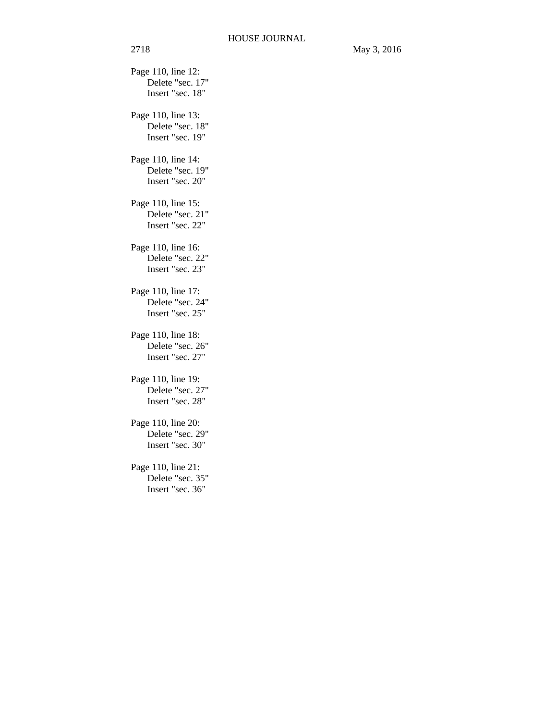Page 110, line 12: Delete "sec. 17" Insert "sec. 18" Page 110, line 13: Delete "sec. 18" Insert "sec. 19" Page 110, line 14: Delete "sec. 19" Insert "sec. 20" Page 110, line 15: Delete "sec. 21" Insert "sec. 22" Page 110, line 16: Delete "sec. 22" Insert "sec. 23" Page 110, line 17: Delete "sec. 24" Insert "sec. 25" Page 110, line 18: Delete "sec. 26" Insert "sec. 27" Page 110, line 19: Delete "sec. 27" Insert "sec. 28" Page 110, line 20: Delete "sec. 29" Insert "sec. 30" Page 110, line 21: Delete "sec. 35" Insert "sec. 36"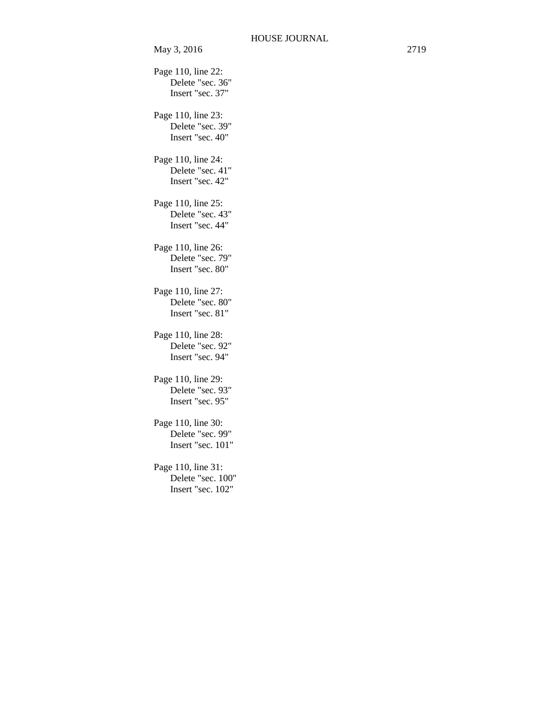May 3, 2016 2719 Page 110, line 22: Delete "sec. 36" Insert "sec. 37" Page 110, line 23: Delete "sec. 39" Insert "sec. 40" Page 110, line 24: Delete "sec. 41" Insert "sec. 42" Page 110, line 25: Delete "sec. 43" Insert "sec. 44" Page 110, line 26: Delete "sec. 79" Insert "sec. 80" Page 110, line 27: Delete "sec. 80" Insert "sec. 81" Page 110, line 28: Delete "sec. 92" Insert "sec. 94" Page 110, line 29: Delete "sec. 93" Insert "sec. 95" Page 110, line 30: Delete "sec. 99" Insert "sec. 101" Page 110, line 31: Delete "sec. 100" Insert "sec. 102"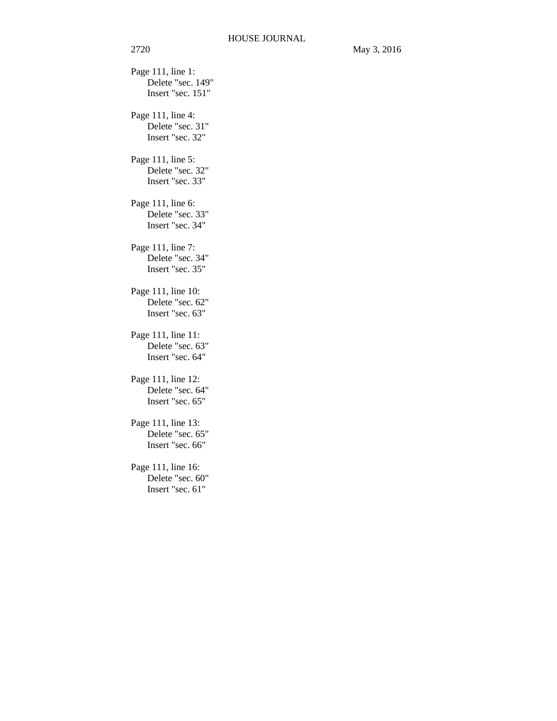Page 111, line 1: Delete "sec. 149" Insert "sec. 151" Page 111, line 4: Delete "sec. 31" Insert "sec. 32" Page 111, line 5: Delete "sec. 32" Insert "sec. 33" Page 111, line 6: Delete "sec. 33" Insert "sec. 34" Page 111, line 7: Delete "sec. 34" Insert "sec. 35" Page 111, line 10: Delete "sec. 62" Insert "sec. 63" Page 111, line 11: Delete "sec. 63" Insert "sec. 64" Page 111, line 12: Delete "sec. 64" Insert "sec. 65" Page 111, line 13: Delete "sec. 65" Insert "sec. 66" Page 111, line 16: Delete "sec. 60" Insert "sec. 61"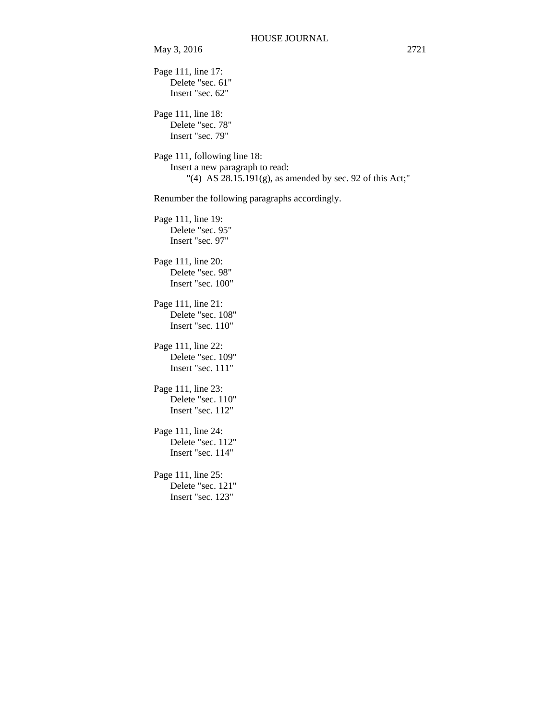Page 111, line 17: Delete "sec. 61" Insert "sec. 62" Page 111, line 18: Delete "sec. 78" Insert "sec. 79" Page 111, following line 18: Insert a new paragraph to read: "(4) AS 28.15.191(g), as amended by sec. 92 of this Act;" Renumber the following paragraphs accordingly. Page 111, line 19: Delete "sec. 95" Insert "sec. 97" Page 111, line 20: Delete "sec. 98" Insert "sec. 100" Page 111, line 21: Delete "sec. 108" Insert "sec. 110" Page 111, line 22: Delete "sec. 109" Insert "sec. 111" Page 111, line 23: Delete "sec. 110" Insert "sec. 112" Page 111, line 24: Delete "sec. 112" Insert "sec. 114" Page 111, line 25: Delete "sec. 121" Insert "sec. 123"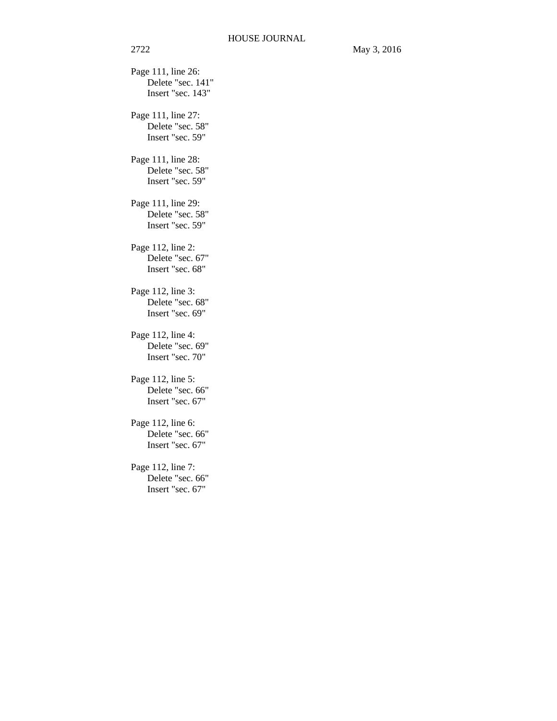Page 111, line 26: Delete "sec. 141" Insert "sec. 143" Page 111, line 27: Delete "sec. 58" Insert "sec. 59" Page 111, line 28: Delete "sec. 58" Insert "sec. 59" Page 111, line 29: Delete "sec. 58" Insert "sec. 59" Page 112, line 2: Delete "sec. 67" Insert "sec. 68" Page 112, line 3: Delete "sec. 68" Insert "sec. 69" Page 112, line 4: Delete "sec. 69" Insert "sec. 70" Page 112, line 5: Delete "sec. 66" Insert "sec. 67" Page 112, line 6: Delete "sec. 66" Insert "sec. 67" Page 112, line 7: Delete "sec. 66" Insert "sec. 67"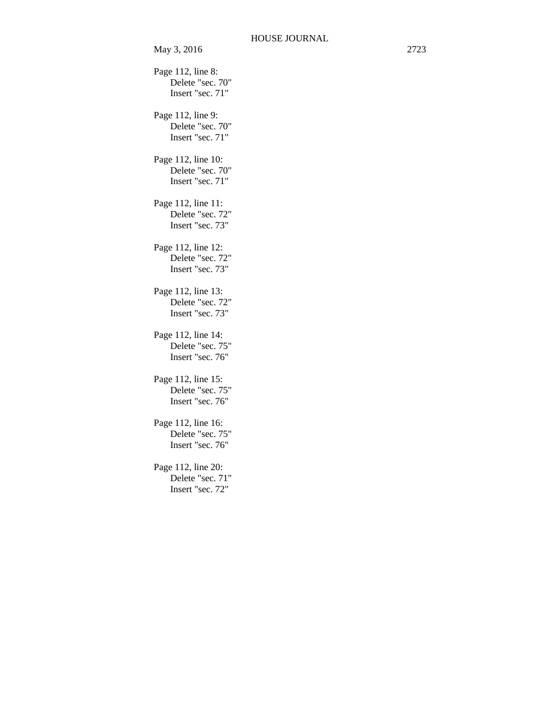Page 112, line 8: Delete "sec. 70" Insert "sec. 71" Page 112, line 9: Delete "sec. 70" Insert "sec. 71" Page 112, line 10: Delete "sec. 70" Insert "sec. 71" Page 112, line 11: Delete "sec. 72" Insert "sec. 73" Page 112, line 12: Delete "sec. 72" Insert "sec. 73" Page 112, line 13: Delete "sec. 72" Insert "sec. 73" Page 112, line 14: Delete "sec. 75" Insert "sec. 76" Page 112, line 15: Delete "sec. 75" Insert "sec. 76" Page 112, line 16: Delete "sec. 75" Insert "sec. 76" Page 112, line 20: Delete "sec. 71" Insert "sec. 72"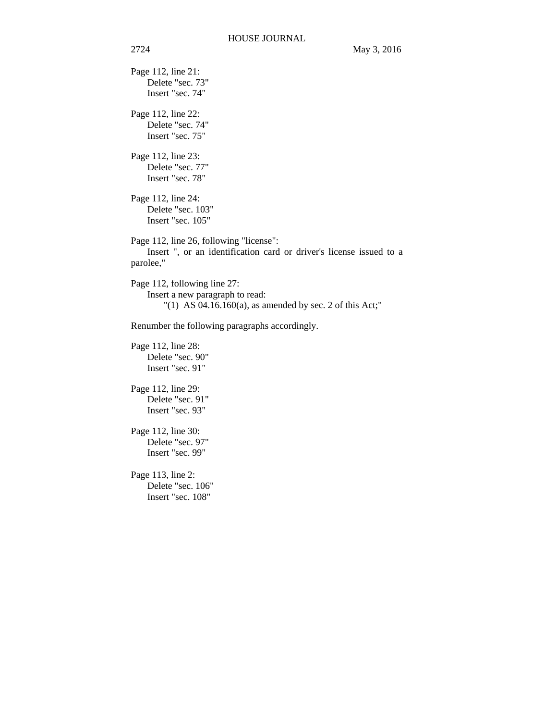Page 112, line 21: Delete "sec. 73" Insert "sec. 74" Page 112, line 22: Delete "sec. 74" Insert "sec. 75" Page 112, line 23: Delete "sec. 77" Insert "sec. 78" Page 112, line 24: Delete "sec. 103" Insert "sec. 105" Page 112, line 26, following "license": Insert ", or an identification card or driver's license issued to a parolee," Page 112, following line 27: Insert a new paragraph to read: "(1) AS  $04.16.160(a)$ , as amended by sec. 2 of this Act;" Renumber the following paragraphs accordingly. Page 112, line 28: Delete "sec. 90" Insert "sec. 91" Page 112, line 29: Delete "sec. 91" Insert "sec. 93" Page 112, line 30: Delete "sec. 97" Insert "sec. 99"

Page 113, line 2: Delete "sec. 106" Insert "sec. 108"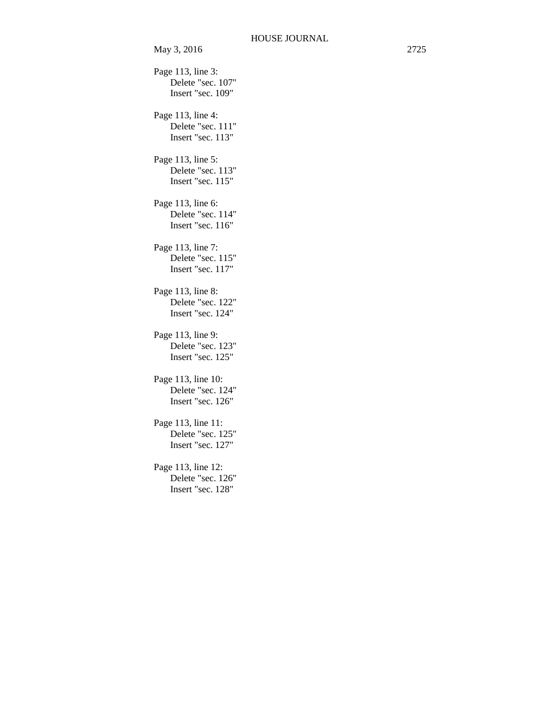```
Page 113, line 3: 
    Delete "sec. 107" 
    Insert "sec. 109" 
Page 113, line 4: 
    Delete "sec. 111" 
    Insert "sec. 113" 
Page 113, line 5: 
    Delete "sec. 113" 
    Insert "sec. 115" 
Page 113, line 6: 
    Delete "sec. 114" 
    Insert "sec. 116" 
Page 113, line 7: 
    Delete "sec. 115" 
    Insert "sec. 117" 
Page 113, line 8: 
    Delete "sec. 122" 
    Insert "sec. 124" 
Page 113, line 9: 
    Delete "sec. 123" 
    Insert "sec. 125" 
Page 113, line 10: 
    Delete "sec. 124" 
    Insert "sec. 126" 
Page 113, line 11: 
    Delete "sec. 125" 
    Insert "sec. 127" 
Page 113, line 12: 
    Delete "sec. 126" 
    Insert "sec. 128"
```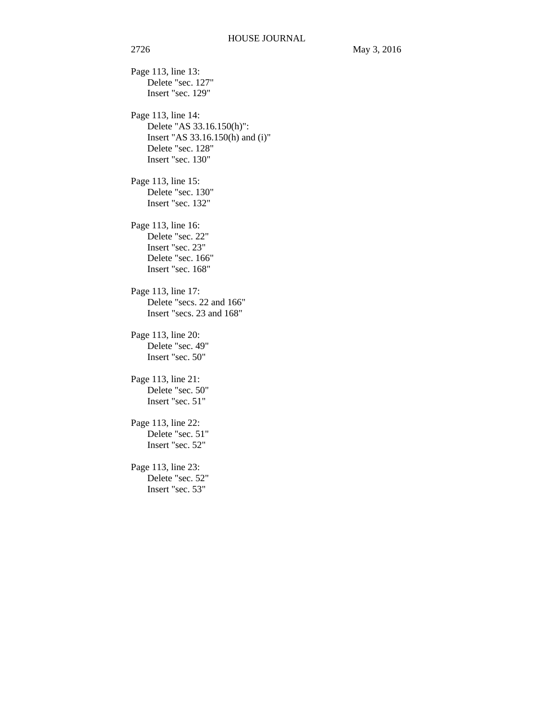Page 113, line 13: Delete "sec. 127" Insert "sec. 129" Page 113, line 14: Delete "AS 33.16.150(h)": Insert "AS 33.16.150(h) and (i)" Delete "sec. 128" Insert "sec. 130" Page 113, line 15: Delete "sec. 130" Insert "sec. 132" Page 113, line 16: Delete "sec. 22" Insert "sec. 23" Delete "sec. 166" Insert "sec. 168" Page 113, line 17: Delete "secs. 22 and 166" Insert "secs. 23 and 168" Page 113, line 20: Delete "sec. 49" Insert "sec. 50" Page 113, line 21: Delete "sec. 50" Insert "sec. 51" Page 113, line 22: Delete "sec. 51" Insert "sec. 52" Page 113, line 23: Delete "sec. 52" Insert "sec. 53"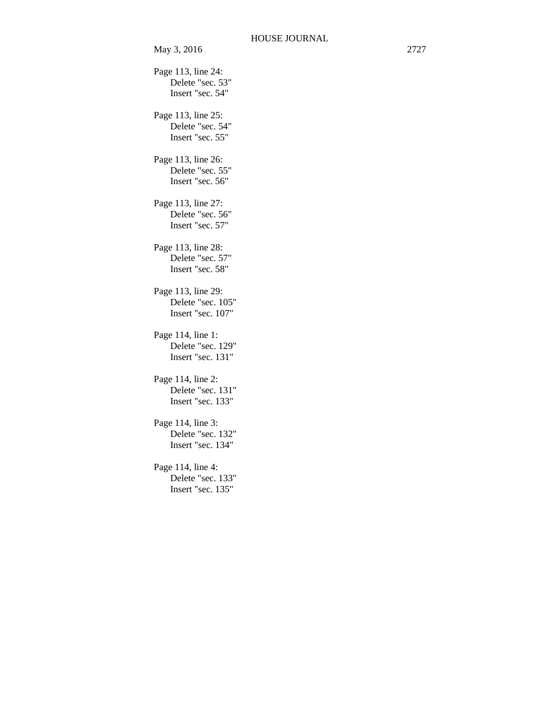May 3, 2016 2727 Page 113, line 24: Delete "sec. 53" Insert "sec. 54" Page 113, line 25: Delete "sec. 54" Insert "sec. 55" Page 113, line 26: Delete "sec. 55" Insert "sec. 56" Page 113, line 27: Delete "sec. 56" Insert "sec. 57" Page 113, line 28: Delete "sec. 57" Insert "sec. 58" Page 113, line 29: Delete "sec. 105" Insert "sec. 107" Page 114, line 1: Delete "sec. 129" Insert "sec. 131" Page 114, line 2: Delete "sec. 131" Insert "sec. 133" Page 114, line 3: Delete "sec. 132" Insert "sec. 134" Page 114, line 4: Delete "sec. 133" Insert "sec. 135"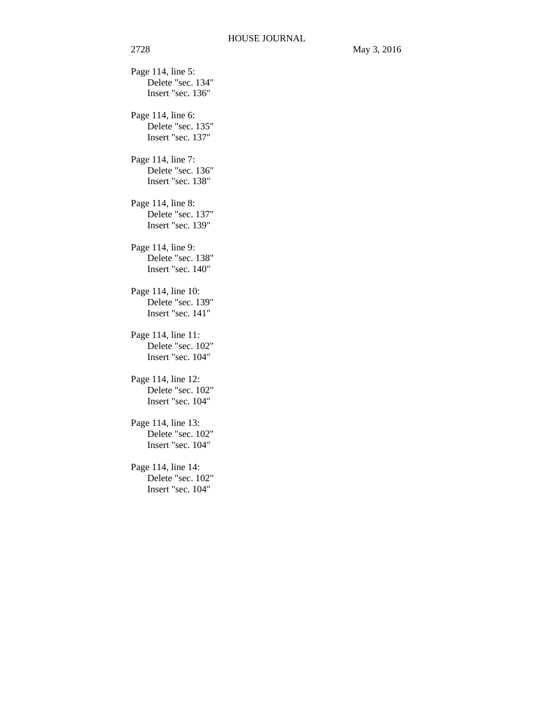2728 May 3, 2016 Page 114, line 5: Delete "sec. 134" Insert "sec. 136" Page 114, line 6: Delete "sec. 135" Insert "sec. 137" Page 114, line 7: Delete "sec. 136" Insert "sec. 138" Page 114, line 8: Delete "sec. 137" Insert "sec. 139" Page 114, line 9: Delete "sec. 138" Insert "sec. 140" Page 114, line 10: Delete "sec. 139" Insert "sec. 141" Page 114, line 11: Delete "sec. 102" Insert "sec. 104" Page 114, line 12: Delete "sec. 102" Insert "sec. 104" Page 114, line 13: Delete "sec. 102" Insert "sec. 104" Page 114, line 14: Delete "sec. 102" Insert "sec. 104"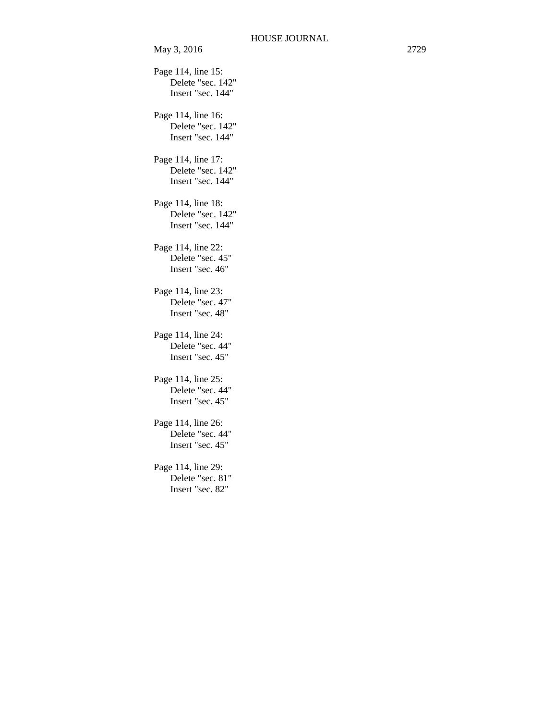Page 114, line 15: Delete "sec. 142" Insert "sec. 144" Page 114, line 16: Delete "sec. 142" Insert "sec. 144" Page 114, line 17: Delete "sec. 142" Insert "sec. 144" Page 114, line 18: Delete "sec. 142" Insert "sec. 144" Page 114, line 22: Delete "sec. 45" Insert "sec. 46" Page 114, line 23: Delete "sec. 47" Insert "sec. 48" Page 114, line 24: Delete "sec. 44" Insert "sec. 45" Page 114, line 25: Delete "sec. 44" Insert "sec. 45" Page 114, line 26: Delete "sec. 44" Insert "sec. 45" Page 114, line 29: Delete "sec. 81" Insert "sec. 82"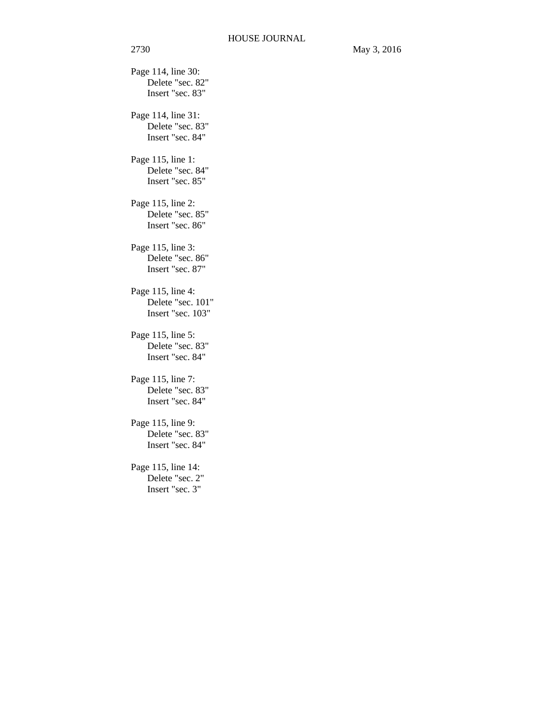Page 114, line 30: Delete "sec. 82" Insert "sec. 83" Page 114, line 31: Delete "sec. 83" Insert "sec. 84" Page 115, line 1: Delete "sec. 84" Insert "sec. 85" Page 115, line 2: Delete "sec. 85" Insert "sec. 86" Page 115, line 3: Delete "sec. 86" Insert "sec. 87" Page 115, line 4: Delete "sec. 101" Insert "sec. 103" Page 115, line 5: Delete "sec. 83" Insert "sec. 84" Page 115, line 7: Delete "sec. 83" Insert "sec. 84" Page 115, line 9: Delete "sec. 83" Insert "sec. 84" Page 115, line 14: Delete "sec. 2" Insert "sec. 3"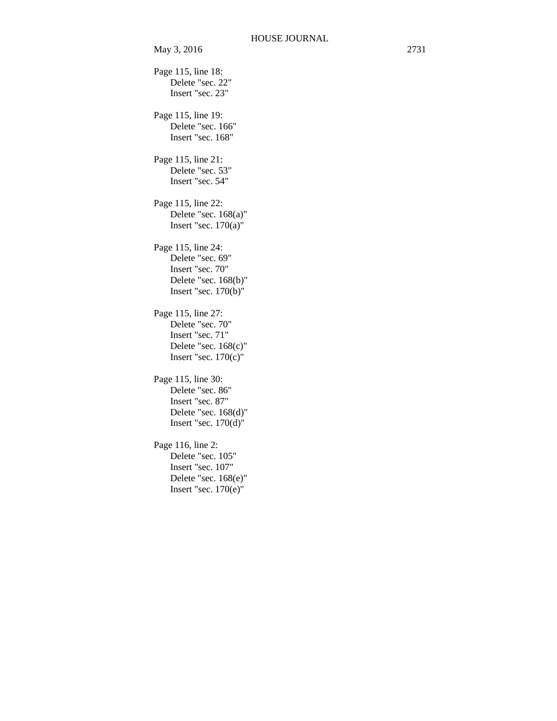```
Page 115, line 18: 
    Delete "sec. 22" 
    Insert "sec. 23" 
Page 115, line 19: 
    Delete "sec. 166" 
    Insert "sec. 168" 
Page 115, line 21: 
    Delete "sec. 53" 
    Insert "sec. 54" 
Page 115, line 22: 
    Delete "sec. 168(a)" 
    Insert "sec. 170(a)" 
Page 115, line 24: 
    Delete "sec. 69" 
    Insert "sec. 70" 
    Delete "sec. 168(b)" 
    Insert "sec. 170(b)" 
Page 115, line 27: 
    Delete "sec. 70" 
    Insert "sec. 71" 
    Delete "sec. 168(c)" 
    Insert "sec. 170(c)" 
Page 115, line 30: 
    Delete "sec. 86" 
    Insert "sec. 87" 
    Delete "sec. 168(d)" 
    Insert "sec. 170(d)" 
Page 116, line 2: 
    Delete "sec. 105" 
    Insert "sec. 107" 
    Delete "sec. 168(e)" 
    Insert "sec. 170(e)"
```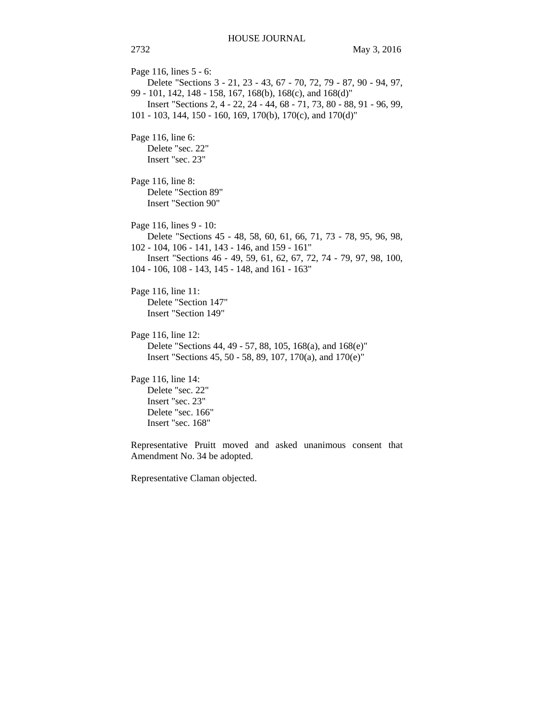Page 116, lines 5 - 6: Delete "Sections 3 - 21, 23 - 43, 67 - 70, 72, 79 - 87, 90 - 94, 97, 99 - 101, 142, 148 - 158, 167, 168(b), 168(c), and 168(d)" Insert "Sections 2, 4 - 22, 24 - 44, 68 - 71, 73, 80 - 88, 91 - 96, 99, 101 - 103, 144, 150 - 160, 169, 170(b), 170(c), and 170(d)" Page 116, line 6: Delete "sec. 22" Insert "sec. 23" Page 116, line 8: Delete "Section 89" Insert "Section 90" Page 116, lines 9 - 10: Delete "Sections 45 - 48, 58, 60, 61, 66, 71, 73 - 78, 95, 96, 98, 102 - 104, 106 - 141, 143 - 146, and 159 - 161" Insert "Sections 46 - 49, 59, 61, 62, 67, 72, 74 - 79, 97, 98, 100, 104 - 106, 108 - 143, 145 - 148, and 161 - 163" Page 116, line 11: Delete "Section 147" Insert "Section 149" Page 116, line 12: Delete "Sections 44, 49 - 57, 88, 105, 168(a), and 168(e)" Insert "Sections 45, 50 - 58, 89, 107, 170(a), and 170(e)" Page 116, line 14: Delete "sec. 22" Insert "sec. 23" Delete "sec. 166" Insert "sec. 168" Representative Pruitt moved and asked unanimous consent that

Amendment No. 34 be adopted.

Representative Claman objected.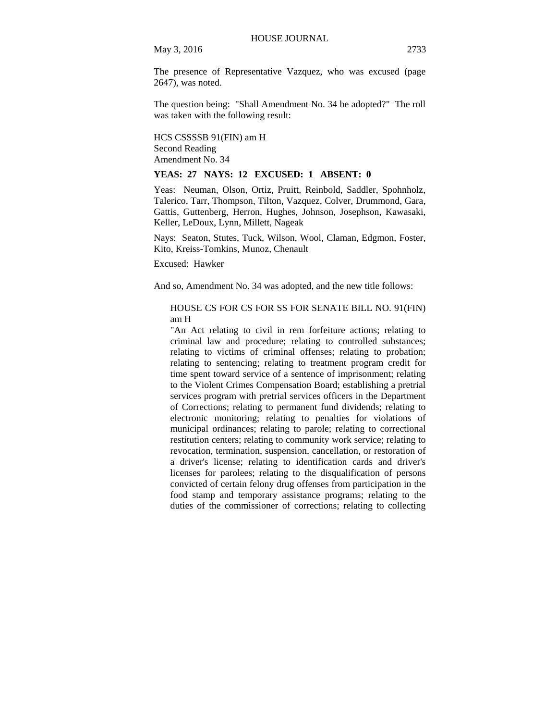May 3, 2016 2733

The presence of Representative Vazquez, who was excused (page 2647), was noted.

The question being: "Shall Amendment No. 34 be adopted?" The roll was taken with the following result:

HCS CSSSSB 91(FIN) am H Second Reading Amendment No. 34

### **YEAS: 27 NAYS: 12 EXCUSED: 1 ABSENT: 0**

Yeas: Neuman, Olson, Ortiz, Pruitt, Reinbold, Saddler, Spohnholz, Talerico, Tarr, Thompson, Tilton, Vazquez, Colver, Drummond, Gara, Gattis, Guttenberg, Herron, Hughes, Johnson, Josephson, Kawasaki, Keller, LeDoux, Lynn, Millett, Nageak

Nays: Seaton, Stutes, Tuck, Wilson, Wool, Claman, Edgmon, Foster, Kito, Kreiss-Tomkins, Munoz, Chenault

Excused: Hawker

And so, Amendment No. 34 was adopted, and the new title follows:

## HOUSE CS FOR CS FOR SS FOR SENATE BILL NO. 91(FIN) am H

"An Act relating to civil in rem forfeiture actions; relating to criminal law and procedure; relating to controlled substances; relating to victims of criminal offenses; relating to probation; relating to sentencing; relating to treatment program credit for time spent toward service of a sentence of imprisonment; relating to the Violent Crimes Compensation Board; establishing a pretrial services program with pretrial services officers in the Department of Corrections; relating to permanent fund dividends; relating to electronic monitoring; relating to penalties for violations of municipal ordinances; relating to parole; relating to correctional restitution centers; relating to community work service; relating to revocation, termination, suspension, cancellation, or restoration of a driver's license; relating to identification cards and driver's licenses for parolees; relating to the disqualification of persons convicted of certain felony drug offenses from participation in the food stamp and temporary assistance programs; relating to the duties of the commissioner of corrections; relating to collecting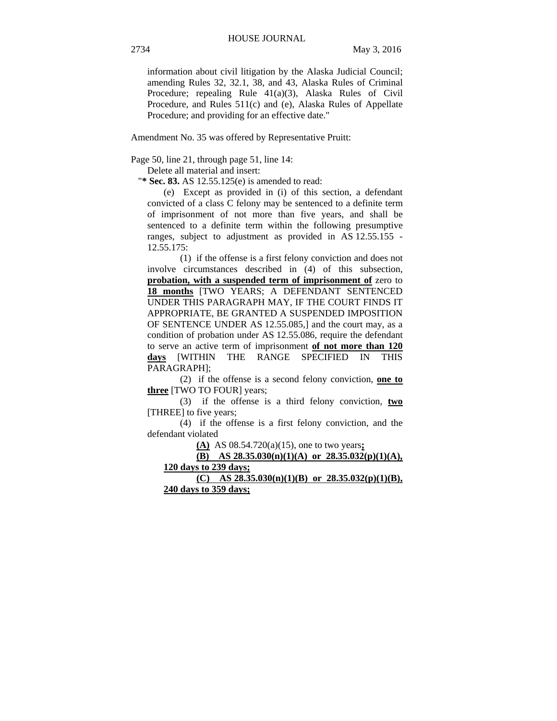information about civil litigation by the Alaska Judicial Council; amending Rules 32, 32.1, 38, and 43, Alaska Rules of Criminal Procedure; repealing Rule 41(a)(3), Alaska Rules of Civil Procedure, and Rules 511(c) and (e), Alaska Rules of Appellate Procedure; and providing for an effective date."

Amendment No. 35 was offered by Representative Pruitt:

Page 50, line 21, through page 51, line 14:

Delete all material and insert:

"**\* Sec. 83.** AS 12.55.125(e) is amended to read:

(e) Except as provided in (i) of this section, a defendant convicted of a class C felony may be sentenced to a definite term of imprisonment of not more than five years, and shall be sentenced to a definite term within the following presumptive ranges, subject to adjustment as provided in AS 12.55.155 - 12.55.175:

(1) if the offense is a first felony conviction and does not involve circumstances described in (4) of this subsection, **probation, with a suspended term of imprisonment of** zero to **18 months** [TWO YEARS; A DEFENDANT SENTENCED UNDER THIS PARAGRAPH MAY, IF THE COURT FINDS IT APPROPRIATE, BE GRANTED A SUSPENDED IMPOSITION OF SENTENCE UNDER AS 12.55.085,] and the court may, as a condition of probation under AS 12.55.086, require the defendant to serve an active term of imprisonment **of not more than 120 days** [WITHIN THE RANGE SPECIFIED IN THIS PARAGRAPH];

(2) if the offense is a second felony conviction, **one to three** [TWO TO FOUR] years;

(3) if the offense is a third felony conviction, **two** [THREE] to five years;

(4) if the offense is a first felony conviction, and the defendant violated

**(A)** AS 08.54.720(a)(15), one to two years**;**

**(B) AS 28.35.030(n)(1)(A) or 28.35.032(p)(1)(A), 120 days to 239 days; (C) AS 28.35.030(n)(1)(B) or 28.35.032(p)(1)(B),**

**240 days to 359 days;**